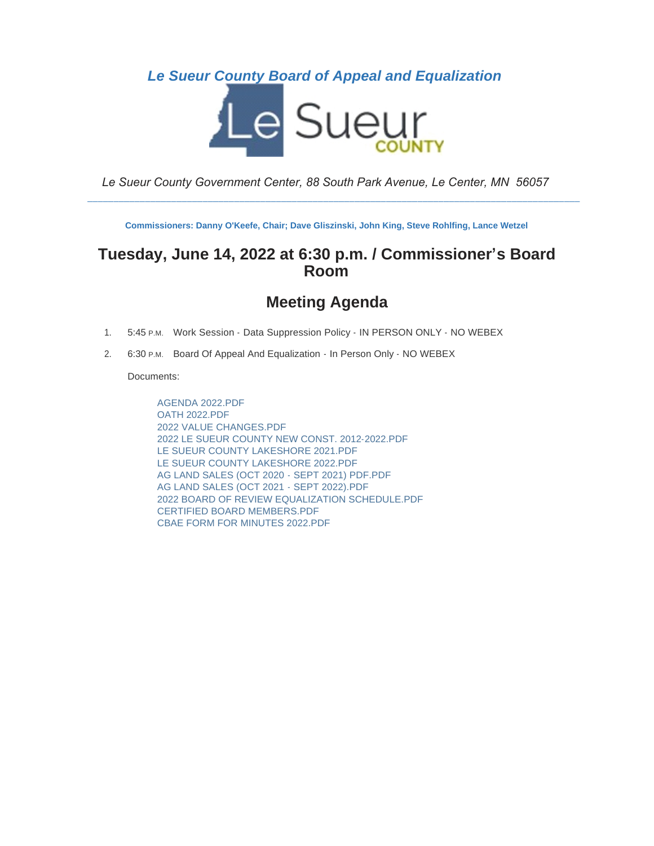### *Le Sueur County Board of Appeal and Equalization*



*Le Sueur County Government Center, 88 South Park Avenue, Le Center, MN 56057*

\_\_\_\_\_\_\_\_\_\_\_\_\_\_\_\_\_\_\_\_\_\_\_\_\_\_\_\_\_\_\_\_\_\_\_\_\_\_\_\_\_\_\_\_\_\_\_\_\_\_\_\_\_\_\_\_\_\_\_\_\_\_\_\_\_\_\_\_\_\_\_\_\_\_\_\_\_\_\_\_\_\_\_\_\_\_\_\_\_\_\_\_\_\_

**Commissioners: Danny O'Keefe, Chair; Dave Gliszinski, John King, Steve Rohlfing, Lance Wetzel**

### **Tuesday, June 14, 2022 at 6:30 p.m. / Commissioner's Board Room**

### **Meeting Agenda**

- 1. 5:45 P.M. Work Session Data Suppression Policy IN PERSON ONLY NO WEBEX
- 2. 6:30 P.M. Board Of Appeal And Equalization In Person Only NO WEBEX

Documents:

AGENDA 2022.PDF OATH 2022.PDF 2022 VALUE CHANGES.PDF 2022 LE SUEUR COUNTY NEW CONST. 2012-2022.PDF LE SUEUR COUNTY LAKESHORE 2021.PDF LE SUEUR COUNTY LAKESHORE 2022.PDF AG LAND SALES (OCT 2020 - SEPT 2021) PDF.PDF AG LAND SALES (OCT 2021 - SEPT 2022).PDF 2022 BOARD OF REVIEW EQUALIZATION SCHEDULE.PDF CERTIFIED BOARD MEMBERS.PDF CBAE FORM FOR MINUTES 2022.PDF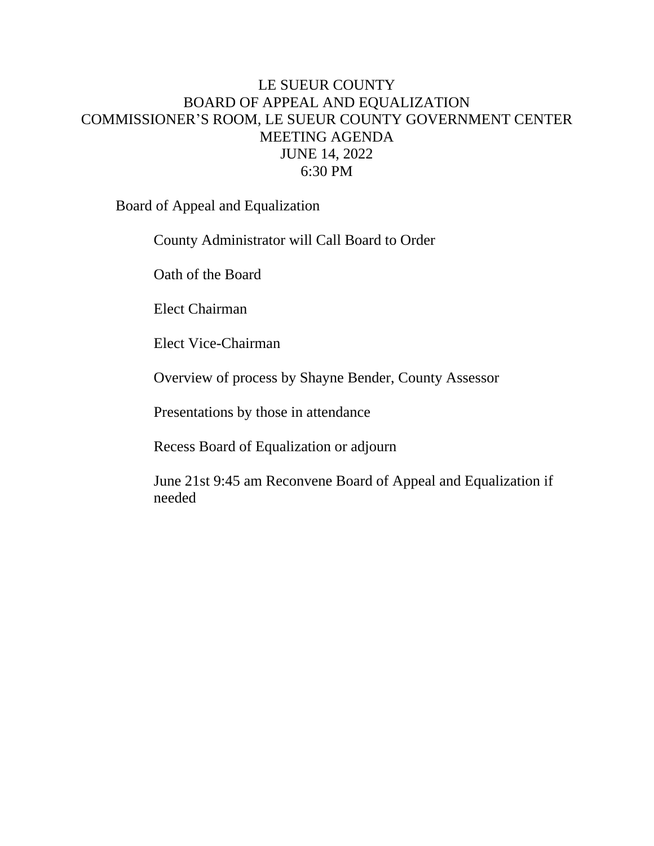### LE SUEUR COUNTY BOARD OF APPEAL AND EQUALIZATION COMMISSIONER'S ROOM, LE SUEUR COUNTY GOVERNMENT CENTER MEETING AGENDA JUNE 14, 2022 6:30 PM

Board of Appeal and Equalization

County Administrator will Call Board to Order

Oath of the Board

Elect Chairman

Elect Vice-Chairman

Overview of process by Shayne Bender, County Assessor

Presentations by those in attendance

Recess Board of Equalization or adjourn

June 21st 9:45 am Reconvene Board of Appeal and Equalization if needed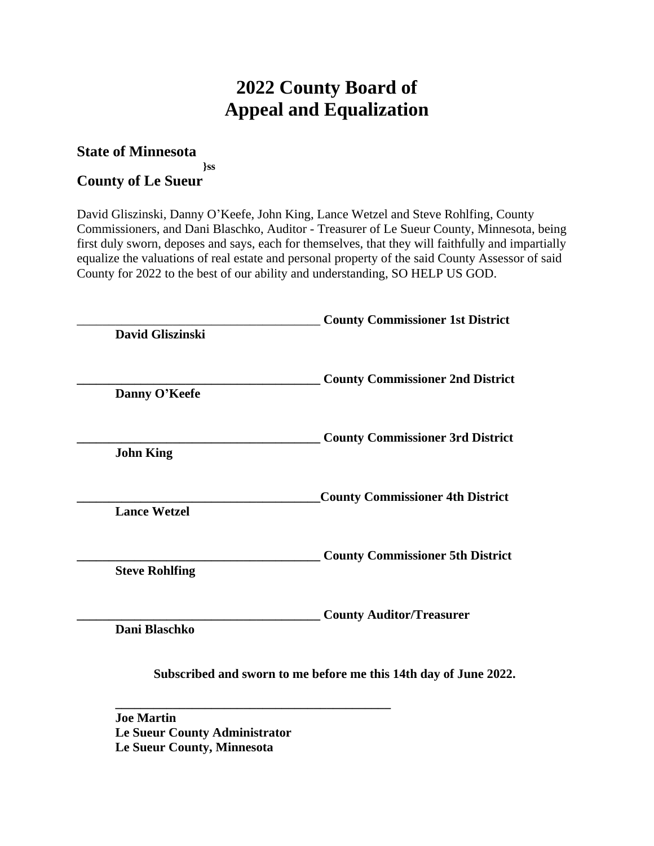# **2022 County Board of Appeal and Equalization**

#### **State of Minnesota }ss County of Le Sueur**

David Gliszinski, Danny O'Keefe, John King, Lance Wetzel and Steve Rohlfing, County Commissioners, and Dani Blaschko, Auditor - Treasurer of Le Sueur County, Minnesota, being first duly sworn, deposes and says, each for themselves, that they will faithfully and impartially equalize the valuations of real estate and personal property of the said County Assessor of said County for 2022 to the best of our ability and understanding, SO HELP US GOD.

| David Gliszinski      | <b>County Commissioner 1st District</b>                          |
|-----------------------|------------------------------------------------------------------|
| Danny O'Keefe         | <b>County Commissioner 2nd District</b>                          |
| <b>John King</b>      | <b>County Commissioner 3rd District</b>                          |
| <b>Lance Wetzel</b>   | <b>County Commissioner 4th District</b>                          |
| <b>Steve Rohlfing</b> | <b>County Commissioner 5th District</b>                          |
| Dani Blaschko         | <b>County Auditor/Treasurer</b>                                  |
|                       | Subscribed and sworn to me before me this 14th day of June 2022. |

**Joe Martin Le Sueur County Administrator Le Sueur County, Minnesota**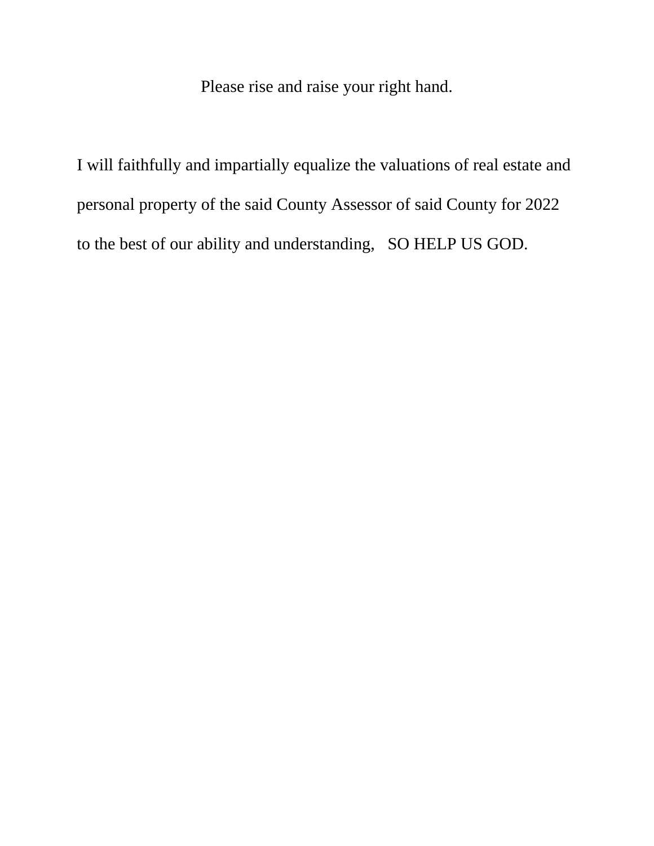Please rise and raise your right hand.

I will faithfully and impartially equalize the valuations of real estate and personal property of the said County Assessor of said County for 2022 to the best of our ability and understanding, SO HELP US GOD.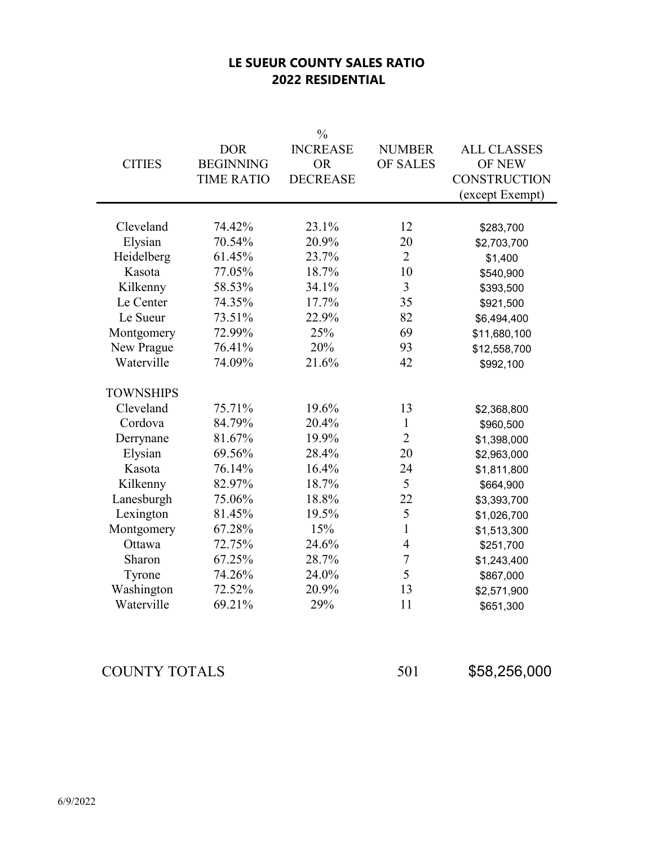### **LE SUEUR COUNTY SALES RATIO 2022 RESIDENTIAL**

|                  |                                                     | $\frac{0}{0}$                                   |                                  |                                                                               |
|------------------|-----------------------------------------------------|-------------------------------------------------|----------------------------------|-------------------------------------------------------------------------------|
| <b>CITIES</b>    | <b>DOR</b><br><b>BEGINNING</b><br><b>TIME RATIO</b> | <b>INCREASE</b><br><b>OR</b><br><b>DECREASE</b> | <b>NUMBER</b><br><b>OF SALES</b> | <b>ALL CLASSES</b><br><b>OF NEW</b><br><b>CONSTRUCTION</b><br>(except Exempt) |
|                  |                                                     |                                                 |                                  |                                                                               |
| Cleveland        | 74.42%                                              | 23.1%                                           | 12                               | \$283,700                                                                     |
| Elysian          | 70.54%                                              | 20.9%                                           | 20                               | \$2,703,700                                                                   |
| Heidelberg       | 61.45%                                              | 23.7%                                           | $\overline{2}$                   | \$1,400                                                                       |
| Kasota           | 77.05%                                              | 18.7%                                           | 10                               | \$540,900                                                                     |
| Kilkenny         | 58.53%                                              | 34.1%                                           | 3                                | \$393,500                                                                     |
| Le Center        | 74.35%                                              | 17.7%                                           | 35                               | \$921,500                                                                     |
| Le Sueur         | 73.51%                                              | 22.9%                                           | 82                               | \$6,494,400                                                                   |
| Montgomery       | 72.99%                                              | 25%                                             | 69                               | \$11,680,100                                                                  |
| New Prague       | 76.41%                                              | 20%                                             | 93                               | \$12,558,700                                                                  |
| Waterville       | 74.09%                                              | 21.6%                                           | 42                               | \$992,100                                                                     |
| <b>TOWNSHIPS</b> |                                                     |                                                 |                                  |                                                                               |
| Cleveland        | 75.71%                                              | 19.6%                                           | 13                               | \$2,368,800                                                                   |
| Cordova          | 84.79%                                              | 20.4%                                           | 1                                | \$960,500                                                                     |
| Derrynane        | 81.67%                                              | 19.9%                                           | $\overline{2}$                   | \$1,398,000                                                                   |
| Elysian          | 69.56%                                              | 28.4%                                           | 20                               | \$2,963,000                                                                   |
| Kasota           | 76.14%                                              | 16.4%                                           | 24                               | \$1,811,800                                                                   |
| Kilkenny         | 82.97%                                              | 18.7%                                           | 5                                | \$664,900                                                                     |
| Lanesburgh       | 75.06%                                              | 18.8%                                           | 22                               | \$3,393,700                                                                   |
| Lexington        | 81.45%                                              | 19.5%                                           | 5                                | \$1,026,700                                                                   |
| Montgomery       | 67.28%                                              | 15%                                             | $\mathbf{1}$                     | \$1,513,300                                                                   |
| Ottawa           | 72.75%                                              | 24.6%                                           | $\overline{4}$                   | \$251,700                                                                     |
| Sharon           | 67.25%                                              | 28.7%                                           | $\overline{7}$                   | \$1,243,400                                                                   |
| Tyrone           | 74.26%                                              | 24.0%                                           | 5                                | \$867,000                                                                     |
| Washington       | 72.52%                                              | 20.9%                                           | 13                               | \$2,571,900                                                                   |
| Waterville       | 69.21%                                              | 29%                                             | 11                               | \$651,300                                                                     |

COUNTY TOTALS 501 \$58,256,000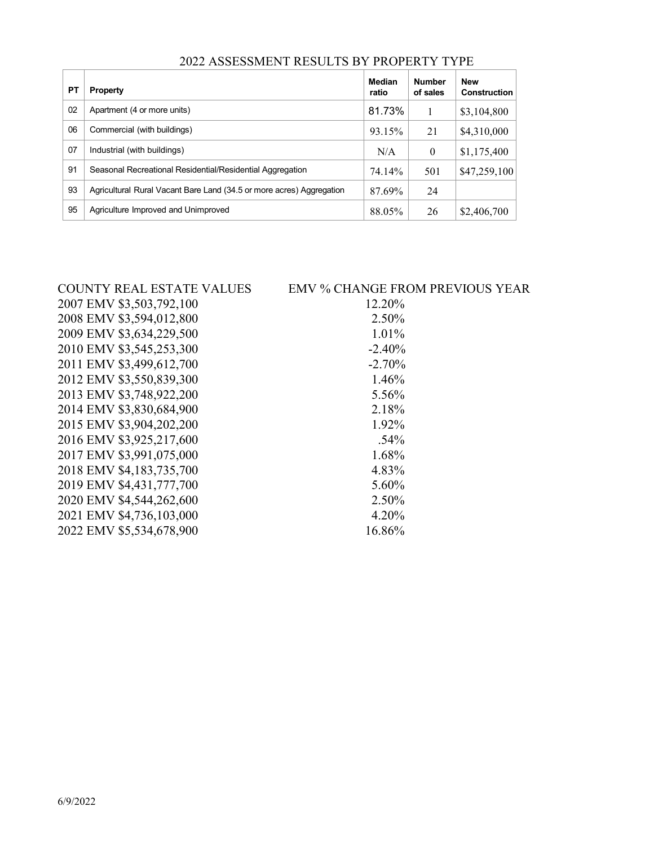| PT | <b>Property</b>                                                      | Median<br>ratio | <b>Number</b><br>of sales | <b>New</b><br><b>Construction</b> |
|----|----------------------------------------------------------------------|-----------------|---------------------------|-----------------------------------|
| 02 | Apartment (4 or more units)                                          | 81.73%          |                           | \$3,104,800                       |
| 06 | Commercial (with buildings)                                          | 93.15%          | 21                        | \$4,310,000                       |
| 07 | Industrial (with buildings)                                          | N/A             | $\theta$                  | \$1,175,400                       |
| 91 | Seasonal Recreational Residential/Residential Aggregation            | 74.14%          | 501                       | \$47,259,100                      |
| 93 | Agricultural Rural Vacant Bare Land (34.5 or more acres) Aggregation | 87.69%          | 24                        |                                   |
| 95 | Agriculture Improved and Unimproved                                  | 88.05%          | 26                        | \$2,406,700                       |

### 2022 ASSESSMENT RESULTS BY PROPERTY TYPE

| <b>COUNTY REAL ESTATE VALUES</b> | <b>EMV % CHANGE FROM PREVIOUS YEAR</b> |
|----------------------------------|----------------------------------------|
| 2007 EMV \$3,503,792,100         | 12.20%                                 |
| 2008 EMV \$3,594,012,800         | 2.50%                                  |
| 2009 EMV \$3,634,229,500         | 1.01%                                  |
| 2010 EMV \$3,545,253,300         | $-2.40%$                               |
| 2011 EMV \$3,499,612,700         | $-2.70%$                               |
| 2012 EMV \$3,550,839,300         | 1.46%                                  |
| 2013 EMV \$3,748,922,200         | 5.56%                                  |
| 2014 EMV \$3,830,684,900         | 2.18%                                  |
| 2015 EMV \$3,904,202,200         | 1.92%                                  |
| 2016 EMV \$3,925,217,600         | .54%                                   |
| 2017 EMV \$3,991,075,000         | 1.68%                                  |
| 2018 EMV \$4,183,735,700         | 4.83%                                  |
| 2019 EMV \$4,431,777,700         | 5.60%                                  |
| 2020 EMV \$4,544,262,600         | 2.50%                                  |
| 2021 EMV \$4,736,103,000         | 4.20%                                  |
| 2022 EMV \$5,534,678,900         | 16.86%                                 |
|                                  |                                        |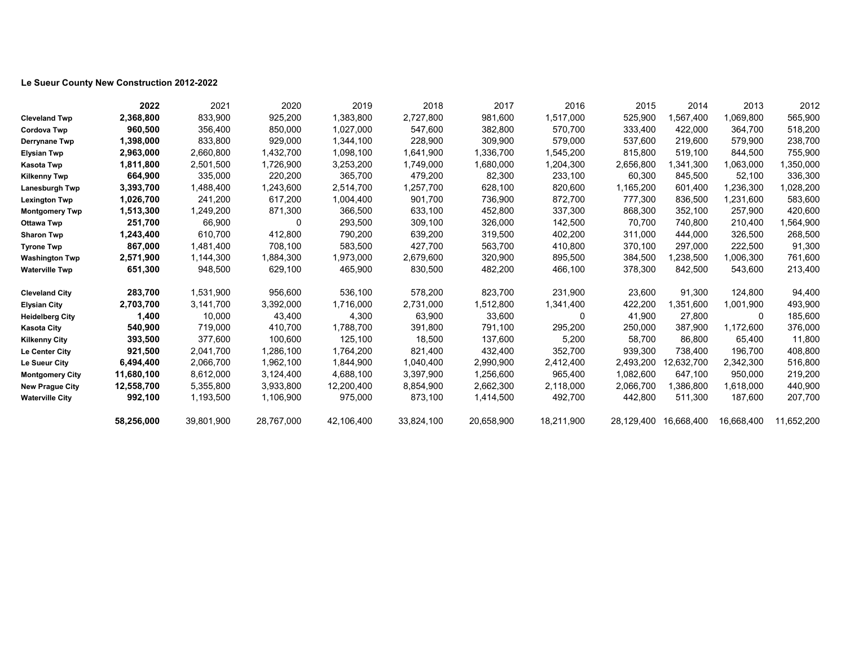### **Le Sueur County New Construction 2012-2022**

|                        | 2022       | 2021       | 2020       | 2019       | 2018       | 2017       | 2016           | 2015       | 2014       | 2013        | 2012       |
|------------------------|------------|------------|------------|------------|------------|------------|----------------|------------|------------|-------------|------------|
| <b>Cleveland Twp</b>   | 2,368,800  | 833,900    | 925,200    | 1,383,800  | 2,727,800  | 981,600    | 1,517,000      | 525,900    | 1,567,400  | 1,069,800   | 565,900    |
| <b>Cordova Twp</b>     | 960,500    | 356,400    | 850,000    | 1,027,000  | 547,600    | 382,800    | 570,700        | 333,400    | 422,000    | 364,700     | 518,200    |
| <b>Derrynane Twp</b>   | 1,398,000  | 833,800    | 929,000    | 1,344,100  | 228,900    | 309,900    | 579,000        | 537,600    | 219,600    | 579,900     | 238,700    |
| <b>Elysian Twp</b>     | 2,963,000  | 2,660,800  | 1,432,700  | 1,098,100  | 1,641,900  | 1,336,700  | 1,545,200      | 815,800    | 519,100    | 844,500     | 755,900    |
| <b>Kasota Twp</b>      | 1,811,800  | 2,501,500  | 1,726,900  | 3,253,200  | 1,749,000  | 1,680,000  | 1,204,300      | 2,656,800  | 1,341,300  | 1,063,000   | 1,350,000  |
| <b>Kilkenny Twp</b>    | 664,900    | 335,000    | 220,200    | 365,700    | 479,200    | 82,300     | 233,100        | 60,300     | 845,500    | 52,100      | 336,300    |
| <b>Lanesburgh Twp</b>  | 3,393,700  | 1,488,400  | 1,243,600  | 2,514,700  | 1,257,700  | 628,100    | 820,600        | 1,165,200  | 601,400    | 1,236,300   | 1,028,200  |
| <b>Lexington Twp</b>   | 1,026,700  | 241,200    | 617,200    | 1,004,400  | 901,700    | 736,900    | 872,700        | 777,300    | 836,500    | 1,231,600   | 583,600    |
| <b>Montgomery Twp</b>  | 1,513,300  | 1,249,200  | 871,300    | 366,500    | 633,100    | 452,800    | 337,300        | 868,300    | 352,100    | 257,900     | 420,600    |
| <b>Ottawa Twp</b>      | 251,700    | 66,900     | 0          | 293,500    | 309,100    | 326,000    | 142,500        | 70,700     | 740,800    | 210,400     | 1,564,900  |
| <b>Sharon Twp</b>      | 1,243,400  | 610,700    | 412,800    | 790,200    | 639,200    | 319,500    | 402,200        | 311,000    | 444,000    | 326,500     | 268,500    |
| <b>Tyrone Twp</b>      | 867,000    | 1,481,400  | 708,100    | 583,500    | 427,700    | 563,700    | 410,800        | 370,100    | 297,000    | 222,500     | 91,300     |
| <b>Washington Twp</b>  | 2,571,900  | 1,144,300  | 1,884,300  | 1,973,000  | 2,679,600  | 320,900    | 895,500        | 384,500    | 1,238,500  | 1,006,300   | 761,600    |
| <b>Waterville Twp</b>  | 651,300    | 948,500    | 629,100    | 465,900    | 830,500    | 482,200    | 466,100        | 378,300    | 842,500    | 543,600     | 213,400    |
| <b>Cleveland City</b>  | 283,700    | 1,531,900  | 956,600    | 536,100    | 578,200    | 823,700    | 231,900        | 23,600     | 91,300     | 124,800     | 94,400     |
| <b>Elysian City</b>    | 2,703,700  | 3,141,700  | 3,392,000  | 1,716,000  | 2,731,000  | 1,512,800  | 1,341,400      | 422,200    | 1,351,600  | 1,001,900   | 493,900    |
| <b>Heidelberg City</b> | 1,400      | 10,000     | 43,400     | 4,300      | 63,900     | 33,600     | $\overline{0}$ | 41,900     | 27,800     | $\mathbf 0$ | 185,600    |
| <b>Kasota City</b>     | 540,900    | 719,000    | 410,700    | 1,788,700  | 391,800    | 791,100    | 295,200        | 250,000    | 387,900    | 1,172,600   | 376,000    |
| <b>Kilkenny City</b>   | 393,500    | 377,600    | 100,600    | 125,100    | 18,500     | 137,600    | 5,200          | 58,700     | 86,800     | 65,400      | 11,800     |
| <b>Le Center City</b>  | 921,500    | 2,041,700  | 1,286,100  | 1,764,200  | 821,400    | 432,400    | 352,700        | 939,300    | 738,400    | 196,700     | 408,800    |
| Le Sueur City          | 6,494,400  | 2,066,700  | 1,962,100  | 1,844,900  | 1,040,400  | 2,990,900  | 2,412,400      | 2,493,200  | 12,632,700 | 2,342,300   | 516,800    |
| <b>Montgomery City</b> | 11,680,100 | 8,612,000  | 3,124,400  | 4,688,100  | 3,397,900  | 1,256,600  | 965,400        | 1,082,600  | 647,100    | 950,000     | 219,200    |
| <b>New Prague City</b> | 12,558,700 | 5,355,800  | 3,933,800  | 12,200,400 | 8,854,900  | 2,662,300  | 2,118,000      | 2,066,700  | 1,386,800  | 1,618,000   | 440,900    |
| <b>Waterville City</b> | 992,100    | 1,193,500  | 1,106,900  | 975,000    | 873,100    | 1,414,500  | 492,700        | 442,800    | 511,300    | 187,600     | 207,700    |
|                        | 58,256,000 | 39,801,900 | 28,767,000 | 42,106,400 | 33,824,100 | 20,658,900 | 18,211,900     | 28,129,400 | 16,668,400 | 16,668,400  | 11,652,200 |

|           |        | 2012 |  |
|-----------|--------|------|--|
| 565,900   |        |      |  |
| 518,200   |        |      |  |
| 238,700   |        |      |  |
| 755,900   |        |      |  |
| 1,350,000 |        |      |  |
| 336,300   |        |      |  |
| 1,028,200 |        |      |  |
| 583,600   |        |      |  |
| 420,600   |        |      |  |
| 1,564,900 |        |      |  |
| 268,500   |        |      |  |
|           | 91,300 |      |  |
| 761,600   |        |      |  |
| 213,400   |        |      |  |
|           |        |      |  |
|           | 94,400 |      |  |
| 493,900   |        |      |  |
| 185,600   |        |      |  |
| 376,000   |        |      |  |
|           | 11,800 |      |  |
| 408,800   |        |      |  |
| 516,800   |        |      |  |
| 219,200   |        |      |  |
| 440,900   |        |      |  |
| 207,700   |        |      |  |
|           |        |      |  |
|           |        |      |  |

| 1                        | 2013      |
|--------------------------|-----------|
| $\mathfrak{z}$           | 1,069,800 |
|                          | 364,700   |
| )<br>)                   | 579,900   |
| $\mathcal{I}$            | 844,500   |
| $\mathfrak{z}$           | 1,063,000 |
| $\mathbf{C}$             | 52,100    |
| $\mathbf{C}$             | 1,236,300 |
| $\mathcal{C}$            | 1,231,600 |
| $\mathfrak{z}$           | 257,900   |
| $\mathfrak{z}$           | 210,400   |
| $\mathcal{C}$            | 326,500   |
| )<br>)                   | 222,500   |
|                          | 1,006,300 |
| $\mathbf{C}$             | 543,600   |
|                          | 124,800   |
| )<br>)                   | 1,001,900 |
| $\mathcal{I}$            | 0         |
| $\mathfrak{z}$           | 1,172,600 |
| $\mathbf{C}$             | 65,400    |
| $\mathbf{C}$             | 196,700   |
| $\mathcal{C}$            | 2,342,300 |
| $\mathfrak{z}$           | 950,000   |
| $\mathfrak{z}$           | 1,618,000 |
| $\overline{\mathcal{L}}$ | 187,600   |
|                          |           |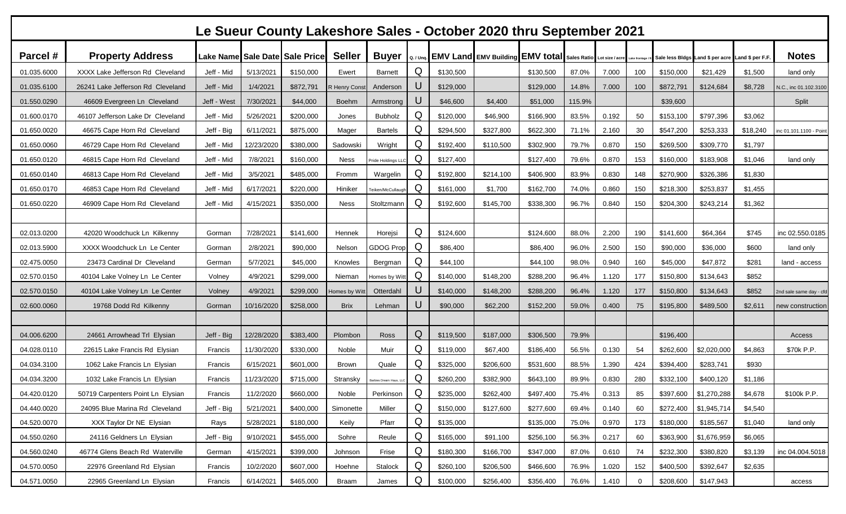| Le Sueur County Lakeshore Sales - October 2020 thru September 2021 |                                   |             |            |                                |               |                       |           |           |                                                                    |           |        |       |               |                                                   |                          |          |                         |
|--------------------------------------------------------------------|-----------------------------------|-------------|------------|--------------------------------|---------------|-----------------------|-----------|-----------|--------------------------------------------------------------------|-----------|--------|-------|---------------|---------------------------------------------------|--------------------------|----------|-------------------------|
| Parcel #                                                           | <b>Property Address</b>           |             |            | Lake Name Sale Date Sale Price | <b>Seller</b> | <b>Buyer</b>          | Q. / Unq. |           | <b>EMV Land EMV Building EMV total Sales Ratio Lot size / acre</b> |           |        |       | Lake frontage | Sale less Bldgs Land \$ per acre Land \$ per F.F. |                          |          | <b>Notes</b>            |
| 01.035.6000                                                        | XXXX Lake Jefferson Rd Cleveland  | Jeff - Mid  | 5/13/2021  | \$150,000                      | Ewert         | <b>Barnett</b>        | Q         | \$130,500 |                                                                    | \$130,500 | 87.0%  | 7.000 | 100           | \$150,000                                         | \$21,429                 | \$1,500  | land only               |
| 01.035.6100                                                        | 26241 Lake Jefferson Rd Cleveland | Jeff - Mid  | 1/4/2021   | \$872,791                      | R Henry Const | Anderson              | U         | \$129,000 |                                                                    | \$129,000 | 14.8%  | 7.000 | 100           | \$872,791                                         | \$124,684                | \$8,728  | V.C., inc 01.102.3100   |
| 01.550.0290                                                        | 46609 Evergreen Ln Cleveland      | Jeff - West | 7/30/2021  | \$44,000                       | <b>Boehm</b>  | Armstrong             | U         | \$46,600  | \$4,400                                                            | \$51,000  | 115.9% |       |               | \$39,600                                          |                          |          | Split                   |
| 01.600.0170                                                        | 46107 Jefferson Lake Dr Cleveland | Jeff - Mid  | 5/26/2021  | \$200,000                      | Jones         | Bubholz               | Q         | \$120,000 | \$46,900                                                           | \$166,900 | 83.5%  | 0.192 | 50            | \$153,100                                         | \$797,396                | \$3,062  |                         |
| 01.650.0020                                                        | 46675 Cape Horn Rd Cleveland      | Jeff - Big  | 6/11/2021  | \$875,000                      | Mager         | <b>Bartels</b>        | Q         | \$294,500 | \$327,800                                                          | \$622,300 | 71.1%  | 2.160 | 30            | \$547,200                                         | \$253,333                | \$18,240 | inc 01.101.1100 - Point |
| 01.650.0060                                                        | 46729 Cape Horn Rd Cleveland      | Jeff - Mid  | 12/23/2020 | \$380,000                      | Sadowski      | Wright                | Q         | \$192,400 | \$110,500                                                          | \$302,900 | 79.7%  | 0.870 | 150           | \$269,500                                         | \$309,770                | \$1,797  |                         |
| 01.650.0120                                                        | 46815 Cape Horn Rd Cleveland      | Jeff - Mid  | 7/8/2021   | \$160,000                      | <b>Ness</b>   | Pride Holdings LL     | Q         | \$127,400 |                                                                    | \$127,400 | 79.6%  | 0.870 | 153           | \$160,000                                         | \$183,908                | \$1,046  | land only               |
| 01.650.0140                                                        | 46813 Cape Horn Rd Cleveland      | Jeff - Mid  | 3/5/2021   | \$485,000                      | Fromm         | Wargelin              | Q         | \$192,800 | \$214,100                                                          | \$406,900 | 83.9%  | 0.830 | 148           | \$270,900                                         | \$326,386                | \$1,830  |                         |
| 01.650.0170                                                        | 46853 Cape Horn Rd Cleveland      | Jeff - Mic  | 6/17/2021  | \$220,000                      | Hiniker       | Teiken/McCullaugl     | Q         | \$161,000 | \$1,700                                                            | \$162,700 | 74.0%  | 0.860 | 150           | \$218,300                                         | \$253,837                | \$1,455  |                         |
| 01.650.0220                                                        | 46909 Cape Horn Rd Cleveland      | Jeff - Mid  | 4/15/2021  | \$350,000                      | <b>Ness</b>   | Stoltzmann            | Q         | \$192,600 | \$145,700                                                          | \$338,300 | 96.7%  | 0.840 | 150           | \$204,300                                         | \$243,214                | \$1,362  |                         |
|                                                                    |                                   |             |            |                                |               |                       |           |           |                                                                    |           |        |       |               |                                                   |                          |          |                         |
| 02.013.0200                                                        | 42020 Woodchuck Ln Kilkenny       | Gorman      | 7/28/2021  | \$141,600                      | Hennek        | Horejsi               | Q         | \$124,600 |                                                                    | \$124,600 | 88.0%  | 2.200 | 190           | \$141,600                                         | \$64,364                 | \$745    | inc 02.550.0185         |
| 02.013.5900                                                        | XXXX Woodchuck Ln Le Center       | Gorman      | 2/8/2021   | \$90,000                       | Nelson        | <b>GDOG Prop</b>      | Q         | \$86,400  |                                                                    | \$86,400  | 96.0%  | 2.500 | 150           | \$90,000                                          | \$36,000                 | \$600    | land only               |
| 02.475.0050                                                        | 23473 Cardinal Dr Cleveland       | German      | 5/7/2021   | \$45,000                       | Knowles       | Bergman               | Q         | \$44,100  |                                                                    | \$44,100  | 98.0%  | 0.940 | 160           | \$45,000                                          | \$47,872                 | \$281    | land - access           |
| 02.570.0150                                                        | 40104 Lake Volney Ln Le Center    | Volney      | 4/9/2021   | \$299,000                      | Nieman        | Homes by Witt         | Q         | \$140,000 | \$148,200                                                          | \$288,200 | 96.4%  | 1.120 | 177           | \$150,800                                         | \$134,643                | \$852    |                         |
| 02.570.0150                                                        | 40104 Lake Volney Ln Le Center    | Volney      | 4/9/2021   | \$299,000                      | lomes by Wit  | Otterdahl             | U         | \$140,000 | \$148,200                                                          | \$288,200 | 96.4%  | 1.120 | 177           | \$150,800                                         | \$134,643                | \$852    | 2nd sale same day - cfd |
| 02.600.0060                                                        | 19768 Dodd Rd Kilkenny            | Gorman      | 10/16/2020 | \$258,000                      | <b>Brix</b>   | Lehman                | U         | \$90,000  | \$62,200                                                           | \$152,200 | 59.0%  | 0.400 | 75            | \$195,800                                         | \$489,500                | \$2,611  | new construction        |
|                                                                    |                                   |             |            |                                |               |                       |           |           |                                                                    |           |        |       |               |                                                   |                          |          |                         |
| 04.006.6200                                                        | 24661 Arrowhead Trl Elysian       | Jeff - Big  | 12/28/2020 | \$383,400                      | Plombon       | Ross                  | Q         | \$119,500 | \$187,000                                                          | \$306,500 | 79.9%  |       |               | \$196,400                                         |                          |          | Access                  |
| 04.028.0110                                                        | 22615 Lake Francis Rd Elysian     | Francis     | 11/30/2020 | \$330,000                      | Noble         | Muir                  | Q         | \$119,000 | \$67,400                                                           | \$186,400 | 56.5%  | 0.130 | 54            | \$262,600                                         | \$2,020,000              | \$4,863  | \$70k P.P.              |
| 04.034.3100                                                        | 1062 Lake Francis Ln Elysian      | Francis     | 6/15/2021  | \$601,000                      | Brown         | Quale                 | Q         | \$325,000 | \$206,600                                                          | \$531,600 | 88.5%  | 1.390 | 424           | \$394,400                                         | \$283,741                | \$930    |                         |
| 04.034.3200                                                        | 1032 Lake Francis Ln Elysian      | Francis     | 11/23/2020 | \$715,000                      | Stransky      | larbies Dream Haus, L | Q         | \$260,200 | \$382,900                                                          | \$643,100 | 89.9%  | 0.830 | 280           | \$332,100                                         | \$400,120                | \$1,186  |                         |
| 04.420.0120                                                        | 50719 Carpenters Point Ln Elysian | Francis     | 11/2/2020  | \$660,000                      | Noble         | Perkinson             | Q         | \$235,000 | \$262,400                                                          | \$497,400 | 75.4%  | 0.313 | 85            |                                                   | \$397,600 \$1,270,288    | \$4,678  | \$100k P.P.             |
| 04.440.0020                                                        | 24095 Blue Marina Rd Cleveland    | Jeff - Big  | 5/21/2021  | \$400,000                      | Simonette     | Miller                | Q         | \$150,000 | \$127,600                                                          | \$277,600 | 69.4%  | 0.140 | 60            |                                                   | $$272,400$ \ \$1,945,714 | \$4,540  |                         |
| 04.520.0070                                                        | XXX Taylor Dr NE Elysian          | Rays        | 5/28/2021  | \$180,000                      | Keily         | Pfarr                 | Q         | \$135,000 |                                                                    | \$135,000 | 75.0%  | 0.970 | 173           | \$180,000                                         | \$185,567                | \$1,040  | land only               |
| 04.550.0260                                                        | 24116 Geldners Ln Elysian         | Jeff - Big  | 9/10/2021  | \$455,000                      | Sohre         | Reule                 | Q         | \$165,000 | \$91,100                                                           | \$256,100 | 56.3%  | 0.217 | 60            | \$363,900                                         | \$1,676,959              | \$6,065  |                         |
| 04.560.0240                                                        | 46774 Glens Beach Rd Waterville   | German      | 4/15/2021  | \$399,000                      | Johnson       | Frise                 | Q         | \$180,300 | \$166,700                                                          | \$347,000 | 87.0%  | 0.610 | 74            | \$232,300                                         | \$380,820                | \$3,139  | inc 04.004.5018         |
| 04.570.0050                                                        | 22976 Greenland Rd Elysian        | Francis     | 10/2/2020  | \$607,000                      | Hoehne        | Stalock               | Q         | \$260,100 | \$206,500                                                          | \$466,600 | 76.9%  | 1.020 | 152           | \$400,500                                         | \$392,647                | \$2,635  |                         |
| 04.571.0050                                                        | 22965 Greenland Ln Elysian        | Francis     | 6/14/2021  | \$465,000                      | Braam         | James                 | Q         | \$100,000 | \$256,400                                                          | \$356,400 | 76.6%  | 1.410 | 0             | \$208,600                                         | \$147,943                |          | access                  |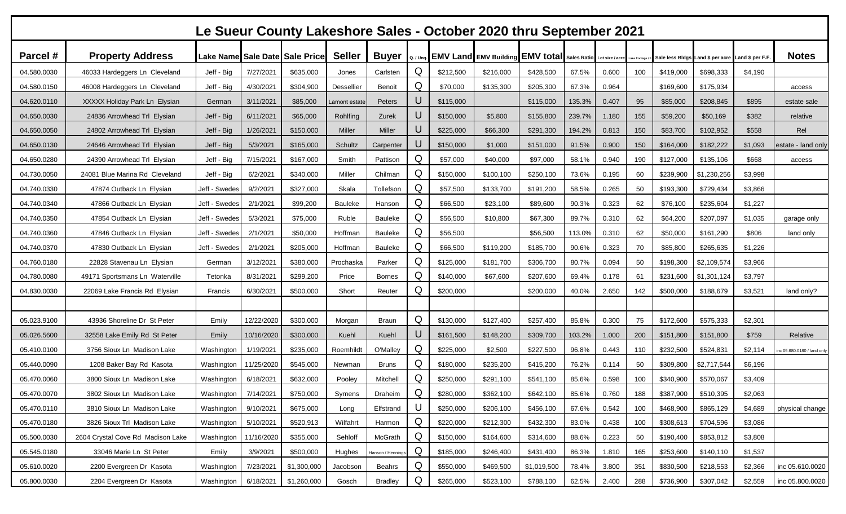| Le Sueur County Lakeshore Sales - October 2020 thru September 2021 |                                   |                      |            |                                |               |                   |   |                                                                       |           |             |        |       |               |           |                                                  |         |                           |
|--------------------------------------------------------------------|-----------------------------------|----------------------|------------|--------------------------------|---------------|-------------------|---|-----------------------------------------------------------------------|-----------|-------------|--------|-------|---------------|-----------|--------------------------------------------------|---------|---------------------------|
| Parcel #                                                           | <b>Property Address</b>           |                      |            | Lake Name Sale Date Sale Price | <b>Seller</b> | <b>Buyer</b>      |   | Q. / Unq. EMV Land EMV Building EMV total Sales Ratio Lot size / acre |           |             |        |       | Lake frontage |           | Sale less Bldgs Land \$ per acre Land \$ per F.F |         | <b>Notes</b>              |
| 04.580.0030                                                        | 46033 Hardeggers Ln Cleveland     | Jeff - Big           | 7/27/2021  | \$635,000                      | Jones         | Carlsten          | Q | \$212,500                                                             | \$216,000 | \$428,500   | 67.5%  | 0.600 | 100           | \$419,000 | \$698,333                                        | \$4,190 |                           |
| 04.580.0150                                                        | 46008 Hardeggers Ln Cleveland     | Jeff - Big           | 4/30/2021  | \$304,900                      | Dessellier    | Benoit            | Q | \$70,000                                                              | \$135,300 | \$205,300   | 67.3%  | 0.964 |               | \$169,600 | \$175,934                                        |         | access                    |
| 04.620.0110                                                        | XXXXX Holiday Park Ln Elysian     | German               | 3/11/2021  | \$85,000                       | amont estat   | Peters            | U | \$115,000                                                             |           | \$115,000   | 135.3% | 0.407 | 95            | \$85,000  | \$208,845                                        | \$895   | estate sale               |
| 04.650.0030                                                        | 24836 Arrowhead Trl Elysian       | Jeff - Big           | 6/11/2021  | \$65,000                       | Rohlfing      | Zurek             | U | \$150,000                                                             | \$5,800   | \$155,800   | 239.7% | 1.180 | 155           | \$59,200  | \$50,169                                         | \$382   | relative                  |
| 04.650.0050                                                        | 24802 Arrowhead Trl Elysian       | Jeff - Big           | 1/26/2021  | \$150,000                      | Miller        | Miller            | U | \$225,000                                                             | \$66,300  | \$291,300   | 194.2% | 0.813 | 150           | \$83,700  | \$102,952                                        | \$558   | Rel                       |
| 04.650.0130                                                        | 24646 Arrowhead Trl Elysian       | Jeff - Big           | 5/3/2021   | \$165,000                      | Schultz       | Carpenter         | U | \$150,000                                                             | \$1,000   | \$151,000   | 91.5%  | 0.900 | 150           | \$164,000 | \$182,222                                        | \$1,093 | estate - land only        |
| 04.650.0280                                                        | 24390 Arrowhead Trl Elysian       | Jeff - Big           | 7/15/2021  | \$167,000                      | Smith         | Pattison          | Q | \$57,000                                                              | \$40,000  | \$97,000    | 58.1%  | 0.940 | 190           | \$127,000 | \$135,106                                        | \$668   | access                    |
| 04.730.0050                                                        | 24081 Blue Marina Rd Cleveland    | Jeff - Big           | 6/2/2021   | \$340,000                      | Miller        | Chilman           | Q | \$150,000                                                             | \$100,100 | \$250,100   | 73.6%  | 0.195 | 60            | \$239,900 | \$1,230,256                                      | \$3,998 |                           |
| 04.740.0330                                                        | 47874 Outback Ln Elysian          | Jeff - Swedes        | 9/2/2021   | \$327,000                      | Skala         | Tollefson         | Q | \$57,500                                                              | \$133,700 | \$191,200   | 58.5%  | 0.265 | 50            | \$193,300 | \$729,434                                        | \$3,866 |                           |
| 04.740.0340                                                        | 47866 Outback Ln Elysian          | Jeff - Swedes        | 2/1/2021   | \$99,200                       | Bauleke       | Hanson            | Q | \$66,500                                                              | \$23,100  | \$89,600    | 90.3%  | 0.323 | 62            | \$76,100  | \$235,604                                        | \$1,227 |                           |
| 04.740.0350                                                        | 47854 Outback Ln Elysian          | Jeff - Swedes        | 5/3/2021   | \$75,000                       | Ruble         | Bauleke           | Q | \$56,500                                                              | \$10,800  | \$67,300    | 89.7%  | 0.310 | 62            | \$64,200  | \$207,097                                        | \$1,035 | garage only               |
| 04.740.0360                                                        | 47846 Outback Ln Elysian          | Jeff - Swedes        | 2/1/2021   | \$50,000                       | Hoffman       | Bauleke           | Q | \$56,500                                                              |           | \$56,500    | 113.0% | 0.310 | 62            | \$50,000  | \$161,290                                        | \$806   | land only                 |
| 04.740.0370                                                        | 47830 Outback Ln Elysian          | Jeff - Swedes        | 2/1/2021   | \$205,000                      | Hoffman       | Bauleke           | Q | \$66,500                                                              | \$119,200 | \$185,700   | 90.6%  | 0.323 | 70            | \$85,800  | \$265,635                                        | \$1,226 |                           |
| 04.760.0180                                                        | 22828 Stavenau Ln Elysian         | German               | 3/12/2021  | \$380,000                      | Prochaska     | Parker            | Q | \$125,000                                                             | \$181,700 | \$306,700   | 80.7%  | 0.094 | 50            | \$198,300 | \$2,109,574                                      | \$3,966 |                           |
| 04.780.0080                                                        | 49171 Sportsmans Ln Waterville    | Tetonka              | 8/31/2021  | \$299,200                      | Price         | <b>Bornes</b>     | Q | \$140,000                                                             | \$67,600  | \$207,600   | 69.4%  | 0.178 | 61            | \$231,600 | \$1,301,124                                      | \$3,797 |                           |
| 04.830.0030                                                        | 22069 Lake Francis Rd Elysian     | Francis              | 6/30/2021  | \$500,000                      | Short         | Reuter            | Q | \$200,000                                                             |           | \$200,000   | 40.0%  | 2.650 | 142           | \$500,000 | \$188,679                                        | \$3,521 | land only?                |
|                                                                    |                                   |                      |            |                                |               |                   |   |                                                                       |           |             |        |       |               |           |                                                  |         |                           |
| 05.023.9100                                                        | 43936 Shoreline Dr St Peter       | Emily                | 12/22/2020 | \$300,000                      | Morgan        | <b>Braun</b>      | Q | \$130,000                                                             | \$127,400 | \$257,400   | 85.8%  | 0.300 | 75            | \$172,600 | \$575,333                                        | \$2,301 |                           |
| 05.026.5600                                                        | 32558 Lake Emily Rd St Peter      | Emily                | 10/16/2020 | \$300,000                      | Kuehl         | Kuehl             | U | \$161,500                                                             | \$148,200 | \$309,700   | 103.2% | 1.000 | 200           | \$151,800 | \$151,800                                        | \$759   | Relative                  |
| 05.410.0100                                                        | 3756 Sioux Ln Madison Lake        | Washington           | 1/19/2021  | \$235,000                      | Roemhildt     | O'Malley          | Q | \$225,000                                                             | \$2,500   | \$227,500   | 96.8%  | 0.443 | 110           | \$232,500 | \$524,831                                        | \$2,114 | c 05.680.0180 / land only |
| 05.440.0090                                                        | 1208 Baker Bay Rd Kasota          | Washington           | 11/25/2020 | \$545,000                      | Newman        | <b>Bruns</b>      | Q | \$180,000                                                             | \$235,200 | \$415,200   | 76.2%  | 0.114 | 50            | \$309,800 | \$2,717,544                                      | \$6,196 |                           |
| 05.470.0060                                                        | 3800 Sioux Ln Madison Lake        | Washington           | 6/18/2021  | \$632,000                      | Pooley        | Mitchell          | Q | \$250,000                                                             | \$291,100 | \$541,100   | 85.6%  | 0.598 | 100           | \$340,900 | \$570,067                                        | \$3,409 |                           |
| 05.470.0070                                                        | 3802 Sioux Ln Madison Lake        | Washington 7/14/2021 |            | \$750,000                      | Symens        | Draheim           | Q | \$280,000                                                             | \$362,100 | \$642,100   | 85.6%  | 0.760 | 188           | \$387,900 | \$510,395                                        | \$2,063 |                           |
| 05.470.0110                                                        | 3810 Sioux Ln Madison Lake        | Washington 9/10/2021 |            | \$675,000                      | Long          | Elfstrand         | U | \$250,000                                                             | \$206,100 | \$456,100   | 67.6%  | 0.542 | 100           | \$468,900 | \$865,129                                        | \$4,689 | physical change           |
| 05.470.0180                                                        | 3826 Sioux Trl Madison Lake       | Washington           | 5/10/2021  | \$520,913                      | Wilfahrt      | Harmon            | Q | \$220,000                                                             | \$212,300 | \$432,300   | 83.0%  | 0.438 | 100           | \$308,613 | \$704,596                                        | \$3,086 |                           |
| 05.500.0030                                                        | 2604 Crystal Cove Rd Madison Lake | Washington           | 11/16/2020 | \$355,000                      | Sehloff       | McGrath           | Q | \$150,000                                                             | \$164,600 | \$314,600   | 88.6%  | 0.223 | 50            | \$190,400 | \$853,812                                        | \$3,808 |                           |
| 05.545.0180                                                        | 33046 Marie Ln St Peter           | Emily                | 3/9/2021   | \$500,000                      | Hughes        | Hanson / Hennings | Q | \$185,000                                                             | \$246,400 | \$431,400   | 86.3%  | 1.810 | 165           | \$253,600 | \$140,110                                        | \$1,537 |                           |
| 05.610.0020                                                        | 2200 Evergreen Dr Kasota          | Washington           | 7/23/2021  | \$1,300,000                    | Jacobson      | Beahrs            | Q | \$550,000                                                             | \$469,500 | \$1,019,500 | 78.4%  | 3.800 | 351           | \$830,500 | \$218,553                                        | \$2,366 | inc 05.610.0020           |
| 05.800.0030                                                        | 2204 Evergreen Dr Kasota          | Washington 6/18/2021 |            | \$1,260,000                    | Gosch         | <b>Bradley</b>    | Q | \$265,000                                                             | \$523,100 | \$788,100   | 62.5%  | 2.400 | 288           | \$736,900 | \$307,042                                        | \$2,559 | inc 05.800.0020           |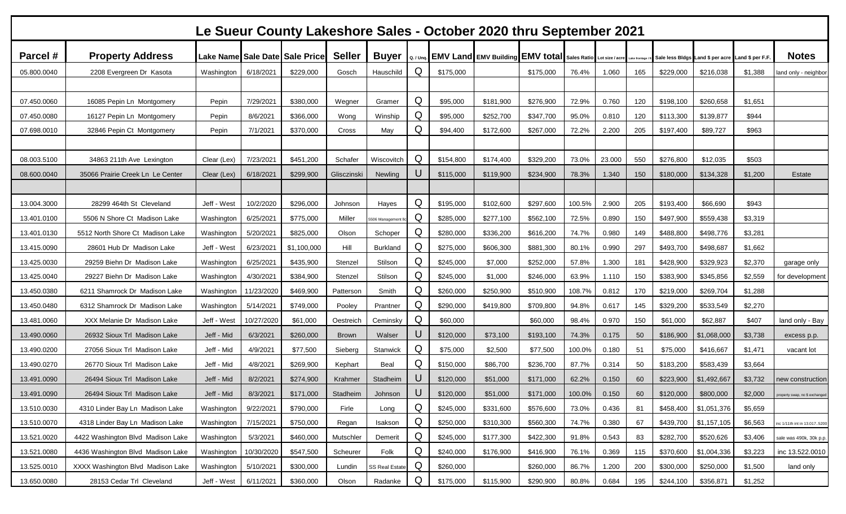|             | Le Sueur County Lakeshore Sales - October 2020 thru September 2021 |                       |            |                                |               |                       |           |           |           |                                                                    |        |        |               |           |                                                  |         |                               |
|-------------|--------------------------------------------------------------------|-----------------------|------------|--------------------------------|---------------|-----------------------|-----------|-----------|-----------|--------------------------------------------------------------------|--------|--------|---------------|-----------|--------------------------------------------------|---------|-------------------------------|
| Parcel #    | <b>Property Address</b>                                            |                       |            | Lake Name Sale Date Sale Price | <b>Seller</b> | <b>Buyer</b>          | Q. / Unq. |           |           | <b>EMV Land EMV Building EMV total Sales Ratio Lot size / acre</b> |        |        | Lake frontage |           | Sale less Bldgs Land \$ per acre Land \$ per F.F |         | <b>Notes</b>                  |
| 05.800.0040 | 2208 Evergreen Dr Kasota                                           | Washington            | 6/18/2021  | \$229,000                      | Gosch         | Hauschild             | Q         | \$175,000 |           | \$175,000                                                          | 76.4%  | 1.060  | 165           | \$229,000 | \$216,038                                        | \$1,388 | land only - neighbor          |
|             |                                                                    |                       |            |                                |               |                       |           |           |           |                                                                    |        |        |               |           |                                                  |         |                               |
| 07.450.0060 | 16085 Pepin Ln Montgomery                                          | Pepin                 | 7/29/2021  | \$380,000                      | Wegner        | Gramer                | Q         | \$95,000  | \$181,900 | \$276,900                                                          | 72.9%  | 0.760  | 120           | \$198,100 | \$260,658                                        | \$1,651 |                               |
| 07.450.0080 | 16127 Pepin Ln Montgomery                                          | Pepin                 | 8/6/2021   | \$366,000                      | Wong          | Winship               | Q         | \$95,000  | \$252,700 | \$347,700                                                          | 95.0%  | 0.810  | 120           | \$113,300 | \$139,877                                        | \$944   |                               |
| 07.698.0010 | 32846 Pepin Ct Montgomery                                          | Pepin                 | 7/1/2021   | \$370,000                      | Cross         | May                   | Q         | \$94,400  | \$172,600 | \$267,000                                                          | 72.2%  | 2.200  | 205           | \$197,400 | \$89,727                                         | \$963   |                               |
|             |                                                                    |                       |            |                                |               |                       |           |           |           |                                                                    |        |        |               |           |                                                  |         |                               |
| 08.003.5100 | 34863 211th Ave Lexington                                          | Clear (Lex)           | 7/23/2021  | \$451,200                      | Schafer       | Wiscovitch            | Q         | \$154,800 | \$174,400 | \$329,200                                                          | 73.0%  | 23.000 | 550           | \$276,800 | \$12,035                                         | \$503   |                               |
| 08.600.0040 | 35066 Prairie Creek Ln Le Center                                   | Clear (Lex)           | 6/18/2021  | \$299,900                      | Glisczinski   | Newling               | U         | \$115,000 | \$119,900 | \$234,900                                                          | 78.3%  | 1.340  | 150           | \$180,000 | \$134,328                                        | \$1,200 | <b>Estate</b>                 |
|             |                                                                    |                       |            |                                |               |                       |           |           |           |                                                                    |        |        |               |           |                                                  |         |                               |
| 13.004.3000 | 28299 464th St Cleveland                                           | Jeff - West           | 10/2/2020  | \$296,000                      | Johnson       | Hayes                 | Q         | \$195,000 | \$102,600 | \$297,600                                                          | 100.5% | 2.900  | 205           | \$193,400 | \$66,690                                         | \$943   |                               |
| 13.401.0100 | 5506 N Shore Ct Madison Lake                                       | Washington            | 6/25/2021  | \$775,000                      | Miller        | 506 Management        | Q         | \$285,000 | \$277,100 | \$562,100                                                          | 72.5%  | 0.890  | 150           | \$497,900 | \$559,438                                        | \$3,319 |                               |
| 13.401.0130 | 5512 North Shore Ct Madison Lake                                   | Washington            | 5/20/2021  | \$825,000                      | Olson         | Schoper               | Q         | \$280,000 | \$336,200 | \$616,200                                                          | 74.7%  | 0.980  | 149           | \$488,800 | \$498,776                                        | \$3,281 |                               |
| 13.415.0090 | 28601 Hub Dr Madison Lake                                          | Jeff - West           | 6/23/2021  | \$1,100,000                    | Hill          | <b>Burkland</b>       | Q         | \$275,000 | \$606,300 | \$881,300                                                          | 80.1%  | 0.990  | 297           | \$493,700 | \$498,687                                        | \$1,662 |                               |
| 13.425.0030 | 29259 Biehn Dr Madison Lake                                        | Washington            | 6/25/2021  | \$435,900                      | Stenzel       | Stilson               | Q         | \$245,000 | \$7,000   | \$252,000                                                          | 57.8%  | 1.300  | 181           | \$428,900 | \$329,923                                        | \$2,370 | garage only                   |
| 13.425.0040 | 29227 Biehn Dr Madison Lake                                        | Washington            | 4/30/2021  | \$384,900                      | Stenzel       | Stilson               | Q         | \$245,000 | \$1,000   | \$246,000                                                          | 63.9%  | 1.110  | 150           | \$383,900 | \$345,856                                        | \$2,559 | for development               |
| 13.450.0380 | 6211 Shamrock Dr Madison Lake                                      | Washington            | 11/23/2020 | \$469,900                      | Patterson     | Smith                 | Q         | \$260,000 | \$250,900 | \$510,900                                                          | 108.7% | 0.812  | 170           | \$219,000 | \$269,704                                        | \$1,288 |                               |
| 13.450.0480 | 6312 Shamrock Dr Madison Lake                                      | Washington            | 5/14/2021  | \$749,000                      | Pooley        | Prantner              | Q         | \$290,000 | \$419,800 | \$709,800                                                          | 94.8%  | 0.617  | 145           | \$329,200 | \$533,549                                        | \$2,270 |                               |
| 13.481.0060 | XXX Melanie Dr Madison Lake                                        | Jeff - West           | 10/27/2020 | \$61,000                       | Oestreich     | Ceminsky              | Q         | \$60,000  |           | \$60,000                                                           | 98.4%  | 0.970  | 150           | \$61,000  | \$62,887                                         | \$407   | land only - Bay               |
| 13.490.0060 | 26932 Sioux Trl Madison Lake                                       | Jeff - Mid            | 6/3/2021   | \$260,000                      | <b>Brown</b>  | Walser                | U         | \$120,000 | \$73,100  | \$193,100                                                          | 74.3%  | 0.175  | 50            | \$186,900 | \$1,068,000                                      | \$3,738 | excess p.p.                   |
| 13.490.0200 | 27056 Sioux Trl Madison Lake                                       | Jeff - Mid            | 4/9/2021   | \$77,500                       | Sieberg       | Stanwick              | Q         | \$75,000  | \$2,500   | \$77,500                                                           | 100.0% | 0.180  | 51            | \$75,000  | \$416,667                                        | \$1,471 | vacant lot                    |
| 13.490.0270 | 26770 Sioux Trl Madison Lake                                       | Jeff - Mid            | 4/8/2021   | \$269,900                      | Kephart       | Beal                  | Q         | \$150,000 | \$86,700  | \$236,700                                                          | 87.7%  | 0.314  | 50            | \$183,200 | \$583,439                                        | \$3,664 |                               |
| 13.491.0090 | 26494 Sioux Trl Madison Lake                                       | Jeff - Mid            | 8/2/2021   | \$274,900                      | Krahmer       | Stadheim              | U         | \$120,000 | \$51,000  | \$171,000                                                          | 62.2%  | 0.150  | 60            | \$223,900 | \$1,492,667                                      | \$3,732 | าew construction              |
| 13.491.0090 | 26494 Sioux Trl Madison Lake                                       | Jeff - Mid            | 8/3/2021   | \$171,000                      | Stadheim      | Johnson               | U         | \$120,000 | \$51,000  | \$171,000                                                          | 100.0% | 0.150  | 60            | \$120,000 | \$800,000                                        | \$2,000 | property swap, no   excnanged |
| 13.510.0030 | 4310 Linder Bay Ln Madison Lake                                    | Washington            | 9/22/2021  | \$790,000                      | Firle         | Long                  | Q         | \$245,000 | \$331,600 | \$576,600                                                          | 73.0%  | 0.436  | 81            | \$458,400 | \$1,051,376                                      | \$5,659 |                               |
| 13.510.0070 | 4318 Linder Bay Ln Madison Lake                                    | Washington            | 7/15/2021  | \$750,000                      | Regan         | Isakson               | Q         | \$250,000 | \$310,300 | \$560,300                                                          | 74.7%  | 0.380  | 67            | \$439,700 | \$1,157,105                                      | \$6,563 | inc 1/11th int in 13.0175200  |
| 13.521.0020 | 4422 Washington Blvd Madison Lake                                  | Washington            | 5/3/2021   | \$460,000                      | Mutschler     | Demerit               | Q         | \$245,000 | \$177,300 | \$422,300                                                          | 91.8%  | 0.543  | 83            | \$282,700 | \$520,626                                        | \$3,406 | sale was 490k, 30k p.p.       |
| 13.521.0080 | 4436 Washington Blvd Madison Lake                                  | Washington 10/30/2020 |            | \$547,500                      | Scheurer      | Folk                  | Q         | \$240,000 | \$176,900 | \$416,900                                                          | 76.1%  | 0.369  | 115           | \$370,600 | \$1,004,336                                      | \$3,223 | inc 13.522.0010               |
| 13.525.0010 | XXXX Washington Blvd Madison Lake                                  | Washington            | 5/10/2021  | \$300,000                      | Lundin        | <b>SS Real Estate</b> | Q         | \$260,000 |           | \$260,000                                                          | 86.7%  | 1.200  | 200           | \$300,000 | \$250,000                                        | \$1,500 | land only                     |
| 13.650.0080 | 28153 Cedar Trl Cleveland                                          | Jeff - West           | 6/11/2021  | \$360,000                      | Olson         | Radanke               | Q         | \$175,000 | \$115,900 | \$290,900                                                          | 80.8%  | 0.684  | 195           | \$244,100 | \$356,871                                        | \$1,252 |                               |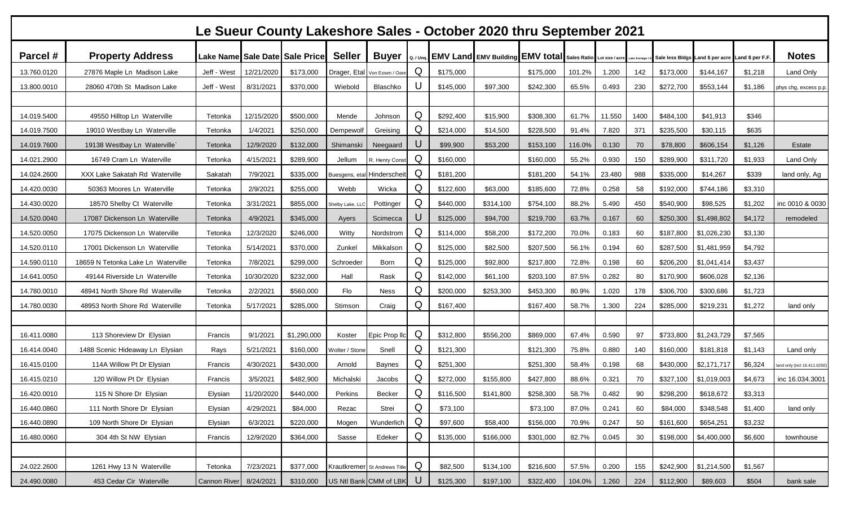|             | Le Sueur County Lakeshore Sales - October 2020 thru September 2021 |              |            |                                |                 |                               |           |           |           |                                                                                    |        |        |      |           |                                                  |         |                             |
|-------------|--------------------------------------------------------------------|--------------|------------|--------------------------------|-----------------|-------------------------------|-----------|-----------|-----------|------------------------------------------------------------------------------------|--------|--------|------|-----------|--------------------------------------------------|---------|-----------------------------|
| Parcel #    | <b>Property Address</b>                                            |              |            | Lake Name Sale Date Sale Price | <b>Seller</b>   | <b>Buyer</b>                  | Q. / Unq. |           |           | <b>EMV Land EMV Building EMV total</b> Sales Ratio Lot size / acre Liske frontage. |        |        |      |           | Sale less Bidgs Land \$ per acre Land \$ per F.F |         | <b>Notes</b>                |
| 13.760.0120 | 27876 Maple Ln Madison Lake                                        | Jeff - West  | 12/21/2020 | \$173,000                      |                 | Drager, Etal Von Essen / Oare | Q         | \$175,000 |           | \$175,000                                                                          | 101.2% | 1.200  | 142  | \$173,000 | \$144,167                                        | \$1,218 | Land Only                   |
| 13.800.0010 | 28060 470th St Madison Lake                                        | Jeff - West  | 8/31/2021  | \$370,000                      | Wiebold         | Blaschko                      | U         | \$145,000 | \$97,300  | \$242,300                                                                          | 65.5%  | 0.493  | 230  | \$272,700 | \$553,144                                        | \$1,186 | phys chg, excess p.p.       |
| 14.019.5400 | 49550 Hilltop Ln Waterville                                        | Tetonka      | 12/15/2020 | \$500,000                      | Mende           | Johnson                       | Q         | \$292,400 | \$15,900  | \$308,300                                                                          | 61.7%  | 11.550 | 1400 | \$484,100 | \$41,913                                         | \$346   |                             |
| 14.019.7500 | 19010 Westbay Ln Waterville                                        | Tetonka      | 1/4/2021   | \$250,000                      | Dempewolf       | Greising                      | Q         | \$214,000 | \$14,500  | \$228,500                                                                          | 91.4%  | 7.820  | 371  | \$235,500 | \$30,115                                         | \$635   |                             |
| 14.019.7600 | 19138 Westbay Ln Waterville`                                       | Tetonka      | 12/9/2020  | \$132,000                      | Shimanski       | Neegaard                      | U         | \$99,900  | \$53,200  | \$153,100                                                                          | 116.0% | 0.130  | 70   | \$78,800  | \$606,154                                        | \$1,126 | Estate                      |
| 14.021.2900 | 16749 Cram Ln Waterville                                           | Tetonka      | 4/15/2021  | \$289,900                      | Jellum          | R. Henry Const                | Q         | \$160,000 |           | \$160,000                                                                          | 55.2%  | 0.930  | 150  | \$289,900 | \$311,720                                        | \$1,933 | Land Only                   |
| 14.024.2600 | XXX Lake Sakatah Rd Waterville                                     | Sakatah      | 7/9/2021   | \$335,000                      |                 | Buesgens, etal Hinderscheit   | Q         | \$181,200 |           | \$181,200                                                                          | 54.1%  | 23.480 | 988  | \$335,000 | \$14,267                                         | \$339   | land only, Ag               |
| 14.420.0030 | 50363 Moores Ln Waterville                                         | Tetonka      | 2/9/2021   | \$255,000                      | Webb            | Wicka                         | Q         | \$122,600 | \$63,000  | \$185,600                                                                          | 72.8%  | 0.258  | 58   | \$192,000 | \$744,186                                        | \$3,310 |                             |
| 14.430.0020 | 18570 Shelby Ct Waterville                                         | Tetonka      | 3/31/2021  | \$855,000                      | Shelby Lake, LL | Pottinger                     | Q         | \$440,000 | \$314,100 | \$754,100                                                                          | 88.2%  | 5.490  | 450  | \$540,900 | \$98,525                                         | \$1,202 | inc 0010 & 0030             |
| 14.520.0040 | 17087 Dickenson Ln Waterville                                      | Tetonka      | 4/9/2021   | \$345,000                      | Ayers           | Scimecca                      | U         | \$125,000 | \$94,700  | \$219,700                                                                          | 63.7%  | 0.167  | 60   | \$250,300 | \$1,498,802                                      | \$4,172 | remodeled                   |
| 14.520.0050 | 17075 Dickenson Ln Waterville                                      | Tetonka      | 12/3/2020  | \$246,000                      | Witty           | Nordstrom                     | Q         | \$114,000 | \$58,200  | \$172,200                                                                          | 70.0%  | 0.183  | 60   | \$187,800 | \$1,026,230                                      | \$3,130 |                             |
| 14.520.0110 | 17001 Dickenson Ln Waterville                                      | Tetonka      | 5/14/2021  | \$370,000                      | Zunkel          | Mikkalson                     | Q         | \$125,000 | \$82,500  | \$207,500                                                                          | 56.1%  | 0.194  | 60   | \$287,500 | \$1,481,959                                      | \$4,792 |                             |
| 14.590.0110 | 18659 N Tetonka Lake Ln Waterville                                 | Tetonka      | 7/8/2021   | \$299,000                      | Schroeder       | Born                          | Q         | \$125,000 | \$92,800  | \$217,800                                                                          | 72.8%  | 0.198  | 60   | \$206,200 | \$1,041,414                                      | \$3,437 |                             |
| 14.641.0050 | 49144 Riverside Ln Waterville                                      | Tetonka      | 10/30/2020 | \$232,000                      | Hall            | Rask                          | Q         | \$142,000 | \$61,100  | \$203,100                                                                          | 87.5%  | 0.282  | 80   | \$170,900 | \$606,028                                        | \$2,136 |                             |
| 14.780.0010 | 48941 North Shore Rd Waterville                                    | Tetonka      | 2/2/2021   | \$560,000                      | Flo             | <b>Ness</b>                   | Q         | \$200,000 | \$253,300 | \$453,300                                                                          | 80.9%  | 1.020  | 178  | \$306,700 | \$300,686                                        | \$1,723 |                             |
| 14.780.0030 | 48953 North Shore Rd Waterville                                    | Tetonka      | 5/17/2021  | \$285,000                      | Stimson         | Craig                         | Q         | \$167,400 |           | \$167,400                                                                          | 58.7%  | 1.300  | 224  | \$285,000 | \$219,231                                        | \$1,272 | land only                   |
|             |                                                                    |              |            |                                |                 |                               |           |           |           |                                                                                    |        |        |      |           |                                                  |         |                             |
| 16.411.0080 | 113 Shoreview Dr Elysian                                           | Francis      | 9/1/2021   | \$1,290,000                    | Koster          | Epic Prop IIc                 | Q         | \$312,800 | \$556,200 | \$869,000                                                                          | 67.4%  | 0.590  | 97   | \$733,800 | \$1,243,729                                      | \$7,565 |                             |
| 16.414.0040 | 1488 Scenic Hideaway Ln Elysian                                    | Rays         | 5/21/2021  | \$160,000                      | Wolter / Stone  | Snell                         | Q         | \$121,300 |           | \$121,300                                                                          | 75.8%  | 0.880  | 140  | \$160,000 | \$181,818                                        | \$1,143 | Land only                   |
| 16.415.0100 | 114A Willow Pt Dr Elysian                                          | Francis      | 4/30/2021  | \$430,000                      | Arnold          | <b>Baynes</b>                 | Q         | \$251,300 |           | \$251,300                                                                          | 58.4%  | 0.198  | 68   | \$430,000 | \$2,171,717                                      | \$6,324 | and only (incl 16.411.0250) |
| 16.415.0210 | 120 Willow Pt Dr Elysian                                           | Francis      | 3/5/2021   | \$482,900                      | Michalski       | Jacobs                        | Q         | \$272,000 | \$155,800 | \$427,800                                                                          | 88.6%  | 0.321  | 70   | \$327,100 | \$1,019,003                                      | \$4,673 | inc 16.034.3001             |
| 16.420.0010 | 115 N Shore Dr Elysian                                             | Elysian      | 11/20/2020 | \$440,000                      | Perkins         | Becker                        | Q         | \$116,500 | \$141,800 | \$258,300                                                                          | 58.7%  | 0.482  | 90   | \$298,200 | \$618,672                                        | \$3,313 |                             |
| 16.440.0860 | 111 North Shore Dr Elysian                                         | Elysian      | 4/29/2021  | \$84,000                       | Rezac           | Strei                         | Q         | \$73,100  |           | \$73,100                                                                           | 87.0%  | 0.241  | 60   | \$84,000  | \$348,548                                        | \$1,400 | land only                   |
| 16.440.0890 | 109 North Shore Dr Elysian                                         | Elysian      | 6/3/2021   | \$220,000                      | Mogen           | Wunderlich                    | Q         | \$97,600  | \$58,400  | \$156,000                                                                          | 70.9%  | 0.247  | 50   | \$161,600 | \$654,251                                        | \$3,232 |                             |
| 16.480.0060 | 304 4th St NW Elysian                                              | Francis      | 12/9/2020  | \$364,000                      | Sasse           | Edeker                        | Q         | \$135,000 | \$166,000 | \$301,000                                                                          | 82.7%  | 0.045  | 30   | \$198,000 | \$4,400,000                                      | \$6,600 | townhouse                   |
|             |                                                                    |              |            |                                |                 |                               |           |           |           |                                                                                    |        |        |      |           |                                                  |         |                             |
| 24.022.2600 | 1261 Hwy 13 N Waterville                                           | Tetonka      | 7/23/2021  | \$377,000                      |                 | Krautkremer St Andrews Title  | Q         | \$82,500  | \$134,100 | \$216,600                                                                          | 57.5%  | 0.200  | 155  | \$242,900 | \$1,214,500                                      | \$1,567 |                             |
| 24.490.0080 | 453 Cedar Cir Waterville                                           | Cannon River | 8/24/2021  | \$310,000                      |                 | US Ntl Bank CMM of LBK        | U         | \$125,300 | \$197,100 | \$322,400                                                                          | 104.0% | 1.260  | 224  | \$112,900 | \$89,603                                         | \$504   | bank sale                   |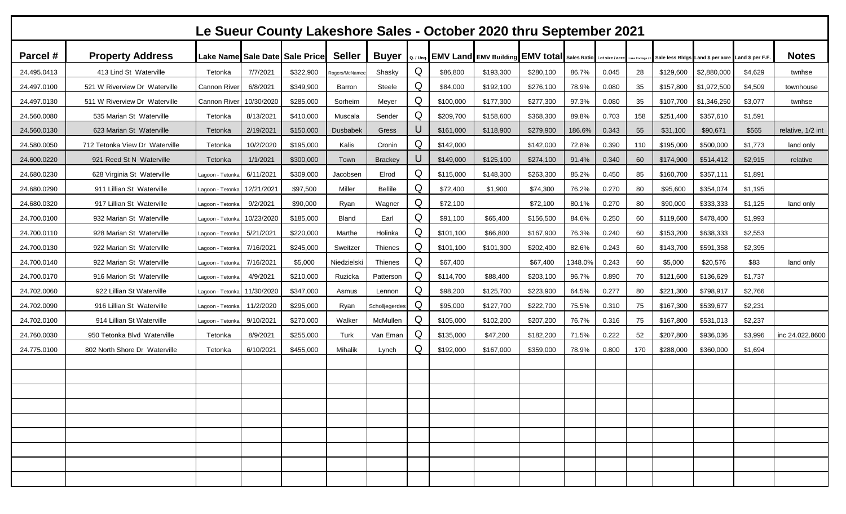| Le Sueur County Lakeshore Sales - October 2020 thru September 2021 |                                |                     |            |                                |                 |                |   |           |           |                                                                       |         |       |               |           |                                                  |         |                   |
|--------------------------------------------------------------------|--------------------------------|---------------------|------------|--------------------------------|-----------------|----------------|---|-----------|-----------|-----------------------------------------------------------------------|---------|-------|---------------|-----------|--------------------------------------------------|---------|-------------------|
| Parcel #                                                           | <b>Property Address</b>        |                     |            | Lake Name Sale Date Sale Price | <b>Seller</b>   | <b>Buyer</b>   |   |           |           | Q. / Unq. EMV Land EMV Building EMV total Sales Ratio Lot size / acre |         |       | Lake frontage |           | Sale less Bidgs Land \$ per acre Land \$ per F.F |         | <b>Notes</b>      |
| 24.495.0413                                                        | 413 Lind St Waterville         | Tetonka             | 7/7/2021   | \$322,900                      | Rogers/McName   | Shasky         | Q | \$86,800  | \$193,300 | \$280,100                                                             | 86.7%   | 0.045 | 28            | \$129,600 | \$2,880,000                                      | \$4,629 | twnhse            |
| 24.497.0100                                                        | 521 W Riverview Dr Waterville  | <b>Cannon River</b> | 6/8/2021   | \$349,900                      | Barron          | Steele         | Q | \$84,000  | \$192,100 | \$276,100                                                             | 78.9%   | 0.080 | 35            | \$157,800 | \$1,972,500                                      | \$4,509 | townhouse         |
| 24.497.0130                                                        | 511 W Riverview Dr Waterville  | Cannon River        | 10/30/2020 | \$285,000                      | Sorheim         | Meyer          | Q | \$100,000 | \$177,300 | \$277,300                                                             | 97.3%   | 0.080 | 35            | \$107,700 | \$1,346,250                                      | \$3,077 | twnhse            |
| 24.560.0080                                                        | 535 Marian St Waterville       | Tetonka             | 8/13/2021  | \$410,000                      | Muscala         | Sender         | Q | \$209,700 | \$158,600 | \$368,300                                                             | 89.8%   | 0.703 | 158           | \$251,400 | \$357,610                                        | \$1,591 |                   |
| 24.560.0130                                                        | 623 Marian St Waterville       | Tetonka             | 2/19/2021  | \$150,000                      | <b>Dusbabek</b> | Gress          |   | \$161,000 | \$118,900 | \$279,900                                                             | 186.6%  | 0.343 | 55            | \$31,100  | \$90,671                                         | \$565   | relative, 1/2 int |
| 24.580.0050                                                        | 712 Tetonka View Dr Waterville | Tetonka             | 10/2/2020  | \$195,000                      | Kalis           | Cronin         | Q | \$142,000 |           | \$142,000                                                             | 72.8%   | 0.390 | 110           | \$195,000 | \$500,000                                        | \$1,773 | land only         |
| 24.600.0220                                                        | 921 Reed St N Waterville       | Tetonka             | 1/1/2021   | \$300,000                      | Town            | <b>Brackey</b> | U | \$149,000 | \$125,100 | \$274,100                                                             | 91.4%   | 0.340 | 60            | \$174,900 | \$514,412                                        | \$2,915 | relative          |
| 24.680.0230                                                        | 628 Virginia St Waterville     | Lagoon - Tetonk     | 6/11/2021  | \$309,000                      | Jacobsen        | Elrod          | Q | \$115,000 | \$148,300 | \$263,300                                                             | 85.2%   | 0.450 | 85            | \$160,700 | \$357,111                                        | \$1,891 |                   |
| 24.680.0290                                                        | 911 Lillian St Waterville      | Lagoon - Tetonk     | 12/21/2021 | \$97,500                       | Miller          | <b>Bellile</b> | Q | \$72,400  | \$1,900   | \$74,300                                                              | 76.2%   | 0.270 | 80            | \$95,600  | \$354,074                                        | \$1,195 |                   |
| 24.680.0320                                                        | 917 Lillian St Waterville      | Lagoon - Tetonk     | 9/2/2021   | \$90,000                       | Ryan            | Wagner         | Q | \$72,100  |           | \$72,100                                                              | 80.1%   | 0.270 | 80            | \$90,000  | \$333,333                                        | \$1,125 | land only         |
| 24.700.0100                                                        | 932 Marian St Waterville       | Lagoon - Tetonk     | 10/23/2020 | \$185,000                      | Bland           | Earl           | Q | \$91,100  | \$65,400  | \$156,500                                                             | 84.6%   | 0.250 | 60            | \$119,600 | \$478,400                                        | \$1,993 |                   |
| 24.700.0110                                                        | 928 Marian St Waterville       | Lagoon - Tetonk     | 5/21/2021  | \$220,000                      | Marthe          | Holinka        | Q | \$101,100 | \$66,800  | \$167,900                                                             | 76.3%   | 0.240 | 60            | \$153,200 | \$638,333                                        | \$2,553 |                   |
| 24.700.0130                                                        | 922 Marian St Waterville       | Lagoon - Tetonk     | 7/16/2021  | \$245,000                      | Sweitzer        | Thienes        | Q | \$101,100 | \$101,300 | \$202,400                                                             | 82.6%   | 0.243 | 60            | \$143,700 | \$591,358                                        | \$2,395 |                   |
| 24.700.0140                                                        | 922 Marian St Waterville       | Lagoon - Tetonk     | 7/16/2021  | \$5,000                        | Niedzielski     | Thienes        | Q | \$67,400  |           | \$67,400                                                              | 1348.0% | 0.243 | 60            | \$5,000   | \$20,576                                         | \$83    | land only         |
| 24.700.0170                                                        | 916 Marion St Waterville       | Lagoon - Tetonka    | 4/9/2021   | \$210,000                      | Ruzicka         | Patterson      | Q | \$114,700 | \$88,400  | \$203,100                                                             | 96.7%   | 0.890 | 70            | \$121,600 | \$136,629                                        | \$1,737 |                   |
| 24.702.0060                                                        | 922 Lillian St Waterville      | Lagoon - Tetonka    | 11/30/2020 | \$347,000                      | Asmus           | Lennon         | Q | \$98,200  | \$125,700 | \$223,900                                                             | 64.5%   | 0.277 | 80            | \$221,300 | \$798,917                                        | \$2,766 |                   |
| 24.702.0090                                                        | 916 Lillian St Waterville      | Lagoon - Tetonk     | 11/2/2020  | \$295,000                      | Ryan            | Scholljegerdes | Q | \$95,000  | \$127,700 | \$222,700                                                             | 75.5%   | 0.310 | 75            | \$167,300 | \$539,677                                        | \$2,231 |                   |
| 24.702.0100                                                        | 914 Lillian St Waterville      | Lagoon - Tetonk     | 9/10/2021  | \$270,000                      | Walker          | McMullen       | Q | \$105,000 | \$102,200 | \$207,200                                                             | 76.7%   | 0.316 | 75            | \$167,800 | \$531,013                                        | \$2,237 |                   |
| 24.760.0030                                                        | 950 Tetonka Blvd Waterville    | Tetonka             | 8/9/2021   | \$255,000                      | Turk            | Van Eman       | Q | \$135,000 | \$47,200  | \$182,200                                                             | 71.5%   | 0.222 | 52            | \$207,800 | \$936,036                                        | \$3,996 | inc 24.022.8600   |
| 24.775.0100                                                        | 802 North Shore Dr Waterville  | Tetonka             | 6/10/2021  | \$455,000                      | Mihalik         | Lynch          | Q | \$192,000 | \$167,000 | \$359,000                                                             | 78.9%   | 0.800 | 170           | \$288,000 | \$360,000                                        | \$1,694 |                   |
|                                                                    |                                |                     |            |                                |                 |                |   |           |           |                                                                       |         |       |               |           |                                                  |         |                   |
|                                                                    |                                |                     |            |                                |                 |                |   |           |           |                                                                       |         |       |               |           |                                                  |         |                   |
|                                                                    |                                |                     |            |                                |                 |                |   |           |           |                                                                       |         |       |               |           |                                                  |         |                   |
|                                                                    |                                |                     |            |                                |                 |                |   |           |           |                                                                       |         |       |               |           |                                                  |         |                   |
|                                                                    |                                |                     |            |                                |                 |                |   |           |           |                                                                       |         |       |               |           |                                                  |         |                   |
|                                                                    |                                |                     |            |                                |                 |                |   |           |           |                                                                       |         |       |               |           |                                                  |         |                   |
|                                                                    |                                |                     |            |                                |                 |                |   |           |           |                                                                       |         |       |               |           |                                                  |         |                   |
|                                                                    |                                |                     |            |                                |                 |                |   |           |           |                                                                       |         |       |               |           |                                                  |         |                   |
|                                                                    |                                |                     |            |                                |                 |                |   |           |           |                                                                       |         |       |               |           |                                                  |         |                   |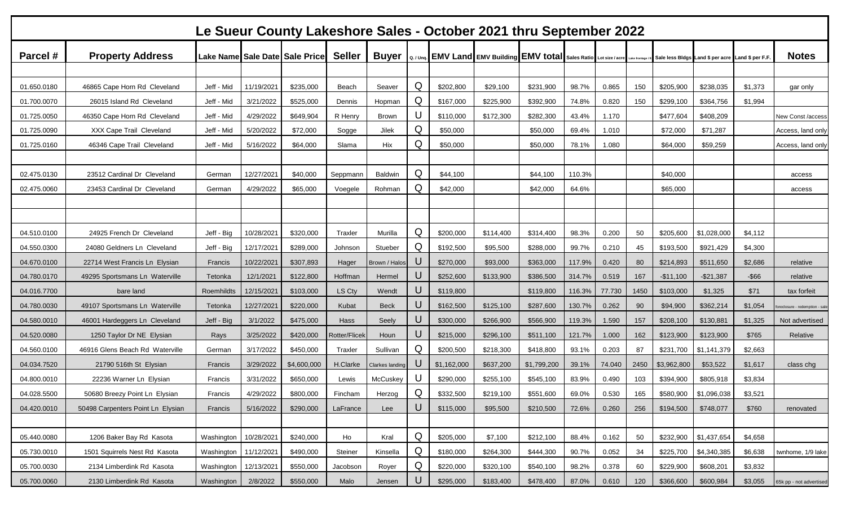|             | Le Sueur County Lakeshore Sales - October 2021 thru September 2022 |            |            |                                |               |                        |             |             |                                                                       |             |        |        |               |             |                                                  |          |                            |
|-------------|--------------------------------------------------------------------|------------|------------|--------------------------------|---------------|------------------------|-------------|-------------|-----------------------------------------------------------------------|-------------|--------|--------|---------------|-------------|--------------------------------------------------|----------|----------------------------|
| Parcel #    | <b>Property Address</b>                                            |            |            | Lake Name Sale Date Sale Price | <b>Seller</b> | <b>Buyer</b>           |             |             | Q. / Unq. EMV Land EMV Building EMV total Sales Ratio Lot size / acre |             |        |        | Lake frontage |             | Sale less Bldgs Land \$ per acre Land \$ per F.F |          | <b>Notes</b>               |
|             |                                                                    |            |            |                                |               |                        |             |             |                                                                       |             |        |        |               |             |                                                  |          |                            |
| 01.650.0180 | 46865 Cape Horn Rd Cleveland                                       | Jeff - Mid | 11/19/2021 | \$235,000                      | Beach         | Seaver                 | Q           | \$202,800   | \$29,100                                                              | \$231,900   | 98.7%  | 0.865  | 150           | \$205,900   | \$238,035                                        | \$1,373  | gar only                   |
| 01.700.0070 | 26015 Island Rd Cleveland                                          | Jeff - Mid | 3/21/2022  | \$525,000                      | Dennis        | Hopman                 | Q           | \$167,000   | \$225,900                                                             | \$392,900   | 74.8%  | 0.820  | 150           | \$299,100   | \$364,756                                        | \$1,994  |                            |
| 01.725.0050 | 46350 Cape Horn Rd Cleveland                                       | Jeff - Mid | 4/29/2022  | \$649,904                      | R Henry       | <b>Brown</b>           |             | \$110,000   | \$172,300                                                             | \$282,300   | 43.4%  | 1.170  |               | \$477,604   | \$408,209                                        |          | New Const /access          |
| 01.725.0090 | XXX Cape Trail Cleveland                                           | Jeff - Mid | 5/20/2022  | \$72,000                       | Sogge         | Jilek                  | Q           | \$50,000    |                                                                       | \$50,000    | 69.4%  | 1.010  |               | \$72,000    | \$71,287                                         |          | Access, land only          |
| 01.725.0160 | 46346 Cape Trail Cleveland                                         | Jeff - Mid | 5/16/2022  | \$64,000                       | Slama         | Hix                    | Q           | \$50,000    |                                                                       | \$50,000    | 78.1%  | 1.080  |               | \$64,000    | \$59,259                                         |          | Access, land only          |
|             |                                                                    |            |            |                                |               |                        |             |             |                                                                       |             |        |        |               |             |                                                  |          |                            |
| 02.475.0130 | 23512 Cardinal Dr Cleveland                                        | German     | 12/27/2021 | \$40,000                       | Seppmanr      | Baldwin                | Q           | \$44,100    |                                                                       | \$44,100    | 110.3% |        |               | \$40,000    |                                                  |          | access                     |
| 02.475.0060 | 23453 Cardinal Dr Cleveland                                        | German     | 4/29/2022  | \$65,000                       | Voegele       | Rohman                 | Q           | \$42,000    |                                                                       | \$42,000    | 64.6%  |        |               | \$65,000    |                                                  |          | access                     |
|             |                                                                    |            |            |                                |               |                        |             |             |                                                                       |             |        |        |               |             |                                                  |          |                            |
|             |                                                                    |            |            |                                |               |                        |             |             |                                                                       |             |        |        |               |             |                                                  |          |                            |
| 04.510.0100 | 24925 French Dr Cleveland                                          | Jeff - Big | 10/28/2021 | \$320,000                      | Traxler       | Murilla                | Q           | \$200,000   | \$114,400                                                             | \$314,400   | 98.3%  | 0.200  | 50            | \$205,600   | \$1,028,000                                      | \$4,112  |                            |
| 04.550.0300 | 24080 Geldners Ln Cleveland                                        | Jeff - Big | 12/17/2021 | \$289,000                      | Johnson       | Stueber                | Q           | \$192,500   | \$95,500                                                              | \$288,000   | 99.7%  | 0.210  | 45            | \$193,500   | \$921,429                                        | \$4,300  |                            |
| 04.670.0100 | 22714 West Francis Ln Elysian                                      | Francis    | 10/22/2021 | \$307,893                      | Hager         | Brown / Halos          | U           | \$270,000   | \$93,000                                                              | \$363,000   | 117.9% | 0.420  | 80            | \$214,893   | \$511,650                                        | \$2,686  | relative                   |
| 04.780.0170 | 49295 Sportsmans Ln Waterville                                     | Tetonka    | 12/1/2021  | \$122,800                      | Hoffman       | Hermel                 | U           | \$252,600   | \$133,900                                                             | \$386,500   | 314.7% | 0.519  | 167           | $-$11,100$  | $-$21,387$                                       | $-$ \$66 | relative                   |
| 04.016.7700 | bare land                                                          | Roemhildts | 12/15/2021 | \$103,000                      | LS Cty        | Wendt                  | U           | \$119,800   |                                                                       | \$119,800   | 116.3% | 77.730 | 1450          | \$103,000   | \$1,325                                          | \$71     | tax forfeit                |
| 04.780.0030 | 49107 Sportsmans Ln Waterville                                     | Tetonka    | 12/27/2021 | \$220,000                      | Kubat         | <b>Beck</b>            | U           | \$162,500   | \$125,100                                                             | \$287,600   | 130.7% | 0.262  | 90            | \$94,900    | \$362,214                                        | \$1,054  | closure - redemption - sal |
| 04.580.0010 | 46001 Hardeggers Ln Cleveland                                      | Jeff - Big | 3/1/2022   | \$475,000                      | Hass          | Seely                  | U           | \$300,000   | \$266,900                                                             | \$566,900   | 119.3% | 1.590  | 157           | \$208,100   | \$130,881                                        | \$1,325  | Not advertised             |
| 04.520.0080 | 1250 Taylor Dr NE Elysian                                          | Rays       | 3/25/2022  | \$420,000                      | Rotter/Flicel | Houn                   |             | \$215,000   | \$296,100                                                             | \$511,100   | 121.7% | 1.000  | 162           | \$123,900   | \$123,900                                        | \$765    | Relative                   |
| 04.560.0100 | 46916 Glens Beach Rd Waterville                                    | German     | 3/17/2022  | \$450,000                      | Traxler       | Sullivan               | Q           | \$200,500   | \$218,300                                                             | \$418,800   | 93.1%  | 0.203  | 87            | \$231,700   | \$1,141,379                                      | \$2,663  |                            |
| 04.034.7520 | 21790 516th St Elysian                                             | Francis    | 3/29/2022  | \$4,600,000                    | H.Clarke      | <b>Clarkes landing</b> | U           | \$1,162,000 | \$637,200                                                             | \$1,799,200 | 39.1%  | 74.040 | 2450          | \$3,962,800 | \$53,522                                         | \$1,617  | class chg                  |
| 04.800.0010 | 22236 Warner Ln Elysian                                            | Francis    | 3/31/2022  | \$650,000                      | Lewis         | McCuskey               |             | \$290,000   | \$255,100                                                             | \$545,100   | 83.9%  | 0.490  | 103           | \$394,900   | \$805,918                                        | \$3,834  |                            |
| 04.028.5500 | 50680 Breezy Point Ln Elysian                                      | Francis    | 4/29/2022  | \$800,000                      | Fincham       | Herzog                 | $\mathsf Q$ | \$332,500   | \$219,100                                                             | \$551,600   | 69.0%  | 0.530  | 165           | \$580,900   | \$1,096,038                                      | \$3,521  |                            |
| 04.420.0010 | 50498 Carpenters Point Ln Elysian                                  | Francis    | 5/16/2022  | \$290,000                      | LaFrance      | Lee                    | U           | \$115,000   | \$95,500                                                              | \$210,500   | 72.6%  | 0.260  | 256           | \$194,500   | \$748,077                                        | \$760    | renovated                  |
|             |                                                                    |            |            |                                |               |                        |             |             |                                                                       |             |        |        |               |             |                                                  |          |                            |
| 05.440.0080 | 1206 Baker Bay Rd Kasota                                           | Washington | 10/28/2021 | \$240,000                      | Ho            | Kral                   | Q           | \$205,000   | \$7,100                                                               | \$212,100   | 88.4%  | 0.162  | 50            | \$232,900   | \$1,437,654                                      | \$4,658  |                            |
| 05.730.0010 | 1501 Squirrels Nest Rd Kasota                                      | Washington | 11/12/2021 | \$490,000                      | Steiner       | Kinsella               | Q           | \$180,000   | \$264,300                                                             | \$444,300   | 90.7%  | 0.052  | 34            | \$225,700   | \$4,340,385                                      | \$6,638  | twnhome, 1/9 lake          |
| 05.700.0030 | 2134 Limberdink Rd Kasota                                          | Washington | 12/13/2021 | \$550,000                      | Jacobson      | Royer                  | Q           | \$220,000   | \$320,100                                                             | \$540,100   | 98.2%  | 0.378  | 60            | \$229,900   | \$608,201                                        | \$3,832  |                            |
| 05.700.0060 | 2130 Limberdink Rd Kasota                                          | Washington | 2/8/2022   | \$550,000                      | Malo          | Jensen                 | U           | \$295,000   | \$183,400                                                             | \$478,400   | 87.0%  | 0.610  | 120           | \$366,600   | \$600,984                                        | \$3,055  | 65k pp - not advertised    |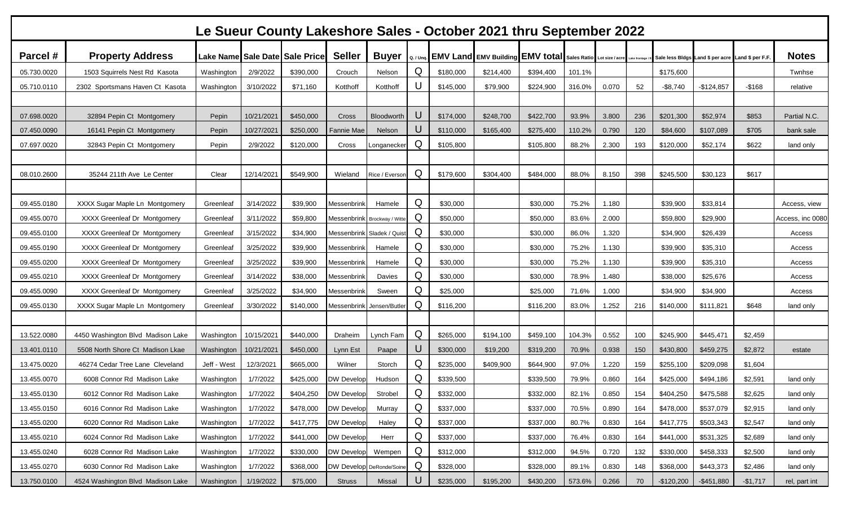|             | Le Sueur County Lakeshore Sales - October 2021 thru September 2022 |             |            |                                |                              |                            |           |           |                                                                           |           |        |       |     |                                                   |               |           |                  |
|-------------|--------------------------------------------------------------------|-------------|------------|--------------------------------|------------------------------|----------------------------|-----------|-----------|---------------------------------------------------------------------------|-----------|--------|-------|-----|---------------------------------------------------|---------------|-----------|------------------|
| Parcel #    | <b>Property Address</b>                                            |             |            | Lake Name Sale Date Sale Price | <b>Seller</b>                | <b>Buyer</b>               | Q. / Unq. |           | EMV Land EMV Building EMV total Sales Ratio Lot size / acre Lake frontage |           |        |       |     | Sale less Bidgs Land \$ per acre Land \$ per F.F. |               |           | <b>Notes</b>     |
| 05.730.0020 | 1503 Squirrels Nest Rd Kasota                                      | Washington  | 2/9/2022   | \$390,000                      | Crouch                       | Nelson                     | Q         | \$180,000 | \$214,400                                                                 | \$394,400 | 101.1% |       |     | \$175,600                                         |               |           | Twnhse           |
| 05.710.0110 | 2302 Sportsmans Haven Ct Kasota                                    | Washington  | 3/10/2022  | \$71,160                       | Kotthoff                     | Kotthoff                   | U         | \$145,000 | \$79,900                                                                  | \$224,900 | 316.0% | 0.070 | 52  | $-$ \$8,740                                       | $-$124,857$   | $-$ \$168 | relative         |
|             |                                                                    |             |            |                                |                              |                            |           |           |                                                                           |           |        |       |     |                                                   |               |           |                  |
| 07.698.0020 | 32894 Pepin Ct Montgomery                                          | Pepin       | 10/21/2021 | \$450,000                      | Cross                        | Bloodworth                 | U         | \$174,000 | \$248,700                                                                 | \$422,700 | 93.9%  | 3.800 | 236 | \$201,300                                         | \$52,974      | \$853     | Partial N.C.     |
| 07.450.0090 | 16141 Pepin Ct Montgomery                                          | Pepin       | 10/27/2021 | \$250,000                      | Fannie Mae                   | Nelson                     | U         | \$110,000 | \$165,400                                                                 | \$275,400 | 110.2% | 0.790 | 120 | \$84,600                                          | \$107,089     | \$705     | bank sale        |
| 07.697.0020 | 32843 Pepin Ct Montgomery                                          | Pepin       | 2/9/2022   | \$120,000                      | Cross                        | Longanecker                | Q         | \$105,800 |                                                                           | \$105,800 | 88.2%  | 2.300 | 193 | \$120,000                                         | \$52,174      | \$622     | land only        |
|             |                                                                    |             |            |                                |                              |                            |           |           |                                                                           |           |        |       |     |                                                   |               |           |                  |
| 08.010.2600 | 35244 211th Ave Le Center                                          | Clear       | 12/14/2021 | \$549,900                      | Wieland                      | Rice / Everson             | Q         | \$179,600 | \$304,400                                                                 | \$484,000 | 88.0%  | 8.150 | 398 | \$245,500                                         | \$30,123      | \$617     |                  |
|             |                                                                    |             |            |                                |                              |                            |           |           |                                                                           |           |        |       |     |                                                   |               |           |                  |
| 09.455.0180 | XXXX Sugar Maple Ln Montgomery                                     | Greenleat   | 3/14/2022  | \$39,900                       | Messenbrink                  | Hamele                     | Q         | \$30,000  |                                                                           | \$30,000  | 75.2%  | 1.180 |     | \$39,900                                          | \$33,814      |           | Access, view     |
| 09.455.0070 | XXXX Greenleaf Dr Montgomery                                       | Greenleaf   | 3/11/2022  | \$59,800                       | Messenbrink Brockway / Witte |                            | Q         | \$50,000  |                                                                           | \$50,000  | 83.6%  | 2.000 |     | \$59,800                                          | \$29,900      |           | Access, inc 0080 |
| 09.455.0100 | XXXX Greenleaf Dr Montgomery                                       | Greenleaf   | 3/15/2022  | \$34,900                       |                              | Messenbrink Sladek / Quist | Q         | \$30,000  |                                                                           | \$30,000  | 86.0%  | 1.320 |     | \$34,900                                          | \$26,439      |           | Access           |
| 09.455.0190 | XXXX Greenleaf Dr Montgomery                                       | Greenleaf   | 3/25/2022  | \$39,900                       | Messenbrink                  | Hamele                     | Q         | \$30,000  |                                                                           | \$30,000  | 75.2%  | 1.130 |     | \$39,900                                          | \$35,310      |           | Access           |
| 09.455.0200 | XXXX Greenleaf Dr Montgomery                                       | Greenleaf   | 3/25/2022  | \$39,900                       | Messenbrink                  | Hamele                     | Q         | \$30,000  |                                                                           | \$30,000  | 75.2%  | 1.130 |     | \$39,900                                          | \$35,310      |           | Access           |
| 09.455.0210 | XXXX Greenleaf Dr Montgomery                                       | Greenleat   | 3/14/2022  | \$38,000                       | Messenbrinl                  | Davies                     | Q         | \$30,000  |                                                                           | \$30,000  | 78.9%  | 1.480 |     | \$38,000                                          | \$25,676      |           | Access           |
| 09.455.0090 | XXXX Greenleaf Dr Montgomery                                       | Greenleaf   | 3/25/2022  | \$34,900                       | Messenbrink                  | Sween                      | Q         | \$25,000  |                                                                           | \$25,000  | 71.6%  | 1.000 |     | \$34,900                                          | \$34,900      |           | Access           |
| 09.455.0130 | XXXX Sugar Maple Ln Montgomery                                     | Greenleaf   | 3/30/2022  | \$140,000                      |                              | Messenbrink Jensen/Butler  | Q         | \$116,200 |                                                                           | \$116,200 | 83.0%  | 1.252 | 216 | \$140,000                                         | \$111,821     | \$648     | land only        |
|             |                                                                    |             |            |                                |                              |                            |           |           |                                                                           |           |        |       |     |                                                   |               |           |                  |
| 13.522.0080 | 4450 Washington Blvd Madison Lake                                  | Washington  | 10/15/2021 | \$440,000                      | Draheim                      | Lynch Fam                  | Q         | \$265,000 | \$194,100                                                                 | \$459,100 | 104.3% | 0.552 | 100 | \$245,900                                         | \$445,471     | \$2,459   |                  |
| 13.401.0110 | 5508 North Shore Ct Madison Lkae                                   | Washington  | 10/21/2021 | \$450,000                      | Lynn Est                     | Paape                      | U         | \$300,000 | \$19,200                                                                  | \$319,200 | 70.9%  | 0.938 | 150 | \$430,800                                         | \$459,275     | \$2,872   | estate           |
| 13.475.0020 | 46274 Cedar Tree Lane Cleveland                                    | Jeff - West | 12/3/2021  | \$665,000                      | Wilner                       | Storch                     | Q         | \$235,000 | \$409,900                                                                 | \$644,900 | 97.0%  | 1.220 | 159 | \$255,100                                         | \$209,098     | \$1,604   |                  |
| 13.455.0070 | 6008 Connor Rd Madison Lake                                        | Washington  | 1/7/2022   | \$425,000                      | <b>DW Develop</b>            | Hudson                     | Q         | \$339,500 |                                                                           | \$339,500 | 79.9%  | 0.860 | 164 | \$425,000                                         | \$494,186     | \$2,591   | land only        |
| 13.455.0130 | 6012 Connor Rd Madison Lake                                        | Washington  | 1/7/2022   | \$404,250                      | <b>DW Develop</b>            | Strobel                    | Q         | \$332,000 |                                                                           | \$332,000 | 82.1%  | 0.850 | 154 | \$404,250                                         | \$475,588     | \$2,625   | land only        |
| 13.455.0150 | 6016 Connor Rd Madison Lake                                        | Washington  | 1/7/2022   | \$478,000                      | <b>DW Develop</b>            | Murray                     | Q         | \$337,000 |                                                                           | \$337,000 | 70.5%  | 0.890 | 164 | \$478,000                                         | \$537,079     | \$2,915   | land only        |
| 13.455.0200 | 6020 Connor Rd Madison Lake                                        | Washington  | 1/7/2022   | \$417,775                      | <b>DW Develop</b>            | Haley                      | Q         | \$337,000 |                                                                           | \$337,000 | 80.7%  | 0.830 | 164 | \$417,775                                         | \$503,343     | \$2,547   | land only        |
| 13.455.0210 | 6024 Connor Rd Madison Lake                                        | Washington  | 1/7/2022   | \$441,000                      | <b>DW Develop</b>            | Herr                       | Q         | \$337,000 |                                                                           | \$337,000 | 76.4%  | 0.830 | 164 | \$441,000                                         | \$531,325     | \$2,689   | land only        |
| 13.455.0240 | 6028 Connor Rd Madison Lake                                        | Washington  | 1/7/2022   | \$330,000                      | <b>DW Develop</b>            | Wempen                     | Q         | \$312,000 |                                                                           | \$312,000 | 94.5%  | 0.720 | 132 | \$330,000                                         | \$458,333     | \$2,500   | land only        |
| 13.455.0270 | 6030 Connor Rd Madison Lake                                        | Washington  | 1/7/2022   | \$368,000                      | DW Develop DeRonde/Soine     |                            | Q         | \$328,000 |                                                                           | \$328,000 | 89.1%  | 0.830 | 148 | \$368,000                                         | \$443,373     | \$2,486   | land only        |
| 13.750.0100 | 4524 Washington Blvd Madison Lake                                  | Washington  | 1/19/2022  | \$75,000                       | <b>Struss</b>                | Missal                     | U         | \$235,000 | \$195,200                                                                 | \$430,200 | 573.6% | 0.266 | 70  | $-$120,200$                                       | $-$ \$451,880 | $-$1,717$ | rel, part int    |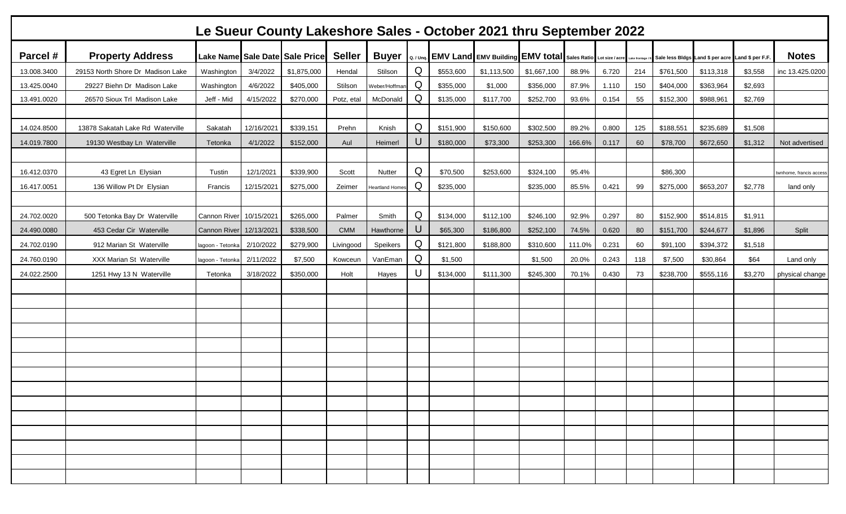|             | Le Sueur County Lakeshore Sales - October 2021 thru September 2022 |                         |            |                                |               |                 |   |                                                                       |             |             |        |       |               |           |                                  |                 |                        |
|-------------|--------------------------------------------------------------------|-------------------------|------------|--------------------------------|---------------|-----------------|---|-----------------------------------------------------------------------|-------------|-------------|--------|-------|---------------|-----------|----------------------------------|-----------------|------------------------|
| Parcel #    | <b>Property Address</b>                                            |                         |            | Lake Name Sale Date Sale Price | <b>Seller</b> | <b>Buyer</b>    |   | Q. / Unq. EMV Land EMV Building EMV total Sales Ratio Lot size / acre |             |             |        |       | Lake frontage |           | Sale less Bldgs Land \$ per acre | Land \$ per F.F | <b>Notes</b>           |
| 13.008.3400 | 29153 North Shore Dr Madison Lake                                  | Washington              | 3/4/2022   | \$1,875,000                    | Hendal        | Stilson         | Q | \$553,600                                                             | \$1,113,500 | \$1,667,100 | 88.9%  | 6.720 | 214           | \$761,500 | \$113,318                        | \$3,558         | inc 13.425.0200        |
| 13.425.0040 | 29227 Biehn Dr Madison Lake                                        | Washington              | 4/6/2022   | \$405,000                      | Stilson       | Weber/Hoffmar   | Q | \$355,000                                                             | \$1,000     | \$356,000   | 87.9%  | 1.110 | 150           | \$404,000 | \$363,964                        | \$2,693         |                        |
| 13.491.0020 | 26570 Sioux Trl Madison Lake                                       | Jeff - Mid              | 4/15/2022  | \$270,000                      | Potz, etal    | McDonald        | Q | \$135,000                                                             | \$117,700   | \$252,700   | 93.6%  | 0.154 | 55            | \$152,300 | \$988,961                        | \$2,769         |                        |
|             |                                                                    |                         |            |                                |               |                 |   |                                                                       |             |             |        |       |               |           |                                  |                 |                        |
| 14.024.8500 | 13878 Sakatah Lake Rd Waterville                                   | Sakatah                 | 12/16/2021 | \$339,151                      | Prehn         | Knish           | Q | \$151,900                                                             | \$150,600   | \$302,500   | 89.2%  | 0.800 | 125           | \$188,551 | \$235,689                        | \$1,508         |                        |
| 14.019.7800 | 19130 Westbay Ln Waterville                                        | Tetonka                 | 4/1/2022   | \$152,000                      | Aul           | Heimerl         | U | \$180,000                                                             | \$73,300    | \$253,300   | 166.6% | 0.117 | 60            | \$78,700  | \$672,650                        | \$1,312         | Not advertised         |
|             |                                                                    |                         |            |                                |               |                 |   |                                                                       |             |             |        |       |               |           |                                  |                 |                        |
| 16.412.0370 | 43 Egret Ln Elysian                                                | Tustin                  | 12/1/2021  | \$339,900                      | Scott         | Nutter          | Q | \$70,500                                                              | \$253,600   | \$324,100   | 95.4%  |       |               | \$86,300  |                                  |                 | wnhome, francis access |
| 16.417.0051 | 136 Willow Pt Dr Elysian                                           | Francis                 | 12/15/2021 | \$275,000                      | Zeimer        | Heartland Home: | Q | \$235,000                                                             |             | \$235,000   | 85.5%  | 0.421 | 99            | \$275,000 | \$653,207                        | \$2,778         | land only              |
|             |                                                                    |                         |            |                                |               |                 |   |                                                                       |             |             |        |       |               |           |                                  |                 |                        |
| 24.702.0020 | 500 Tetonka Bay Dr Waterville                                      | Cannon River 10/15/2021 |            | \$265,000                      | Palmer        | Smith           | Q | \$134,000                                                             | \$112,100   | \$246,100   | 92.9%  | 0.297 | 80            | \$152,900 | \$514,815                        | \$1,911         |                        |
| 24.490.0080 | 453 Cedar Cir Waterville                                           | <b>Cannon River</b>     | 12/13/2021 | \$338,500                      | <b>CMM</b>    | Hawthorne       | U | \$65,300                                                              | \$186,800   | \$252,100   | 74.5%  | 0.620 | 80            | \$151,700 | \$244,677                        | \$1,896         | Split                  |
| 24.702.0190 | 912 Marian St Waterville                                           | lagoon - Tetonka        | 2/10/2022  | \$279,900                      | Livingood     | Speikers        | Q | \$121,800                                                             | \$188,800   | \$310,600   | 111.0% | 0.231 | 60            | \$91,100  | \$394,372                        | \$1,518         |                        |
| 24.760.0190 | XXX Marian St Waterville                                           | lagoon - Tetonka        | 2/11/2022  | \$7,500                        | Kowceun       | VanEman         | Q | \$1,500                                                               |             | \$1,500     | 20.0%  | 0.243 | 118           | \$7,500   | \$30,864                         | \$64            | Land only              |
| 24.022.2500 | 1251 Hwy 13 N Waterville                                           | Tetonka                 | 3/18/2022  | \$350,000                      | Holt          | Hayes           | U | \$134,000                                                             | \$111,300   | \$245,300   | 70.1%  | 0.430 | 73            | \$238,700 | \$555,116                        | \$3,270         | physical change        |
|             |                                                                    |                         |            |                                |               |                 |   |                                                                       |             |             |        |       |               |           |                                  |                 |                        |
|             |                                                                    |                         |            |                                |               |                 |   |                                                                       |             |             |        |       |               |           |                                  |                 |                        |
|             |                                                                    |                         |            |                                |               |                 |   |                                                                       |             |             |        |       |               |           |                                  |                 |                        |
|             |                                                                    |                         |            |                                |               |                 |   |                                                                       |             |             |        |       |               |           |                                  |                 |                        |
|             |                                                                    |                         |            |                                |               |                 |   |                                                                       |             |             |        |       |               |           |                                  |                 |                        |
|             |                                                                    |                         |            |                                |               |                 |   |                                                                       |             |             |        |       |               |           |                                  |                 |                        |
|             |                                                                    |                         |            |                                |               |                 |   |                                                                       |             |             |        |       |               |           |                                  |                 |                        |
|             |                                                                    |                         |            |                                |               |                 |   |                                                                       |             |             |        |       |               |           |                                  |                 |                        |
|             |                                                                    |                         |            |                                |               |                 |   |                                                                       |             |             |        |       |               |           |                                  |                 |                        |
|             |                                                                    |                         |            |                                |               |                 |   |                                                                       |             |             |        |       |               |           |                                  |                 |                        |
|             |                                                                    |                         |            |                                |               |                 |   |                                                                       |             |             |        |       |               |           |                                  |                 |                        |
|             |                                                                    |                         |            |                                |               |                 |   |                                                                       |             |             |        |       |               |           |                                  |                 |                        |
|             |                                                                    |                         |            |                                |               |                 |   |                                                                       |             |             |        |       |               |           |                                  |                 |                        |
|             |                                                                    |                         |            |                                |               |                 |   |                                                                       |             |             |        |       |               |           |                                  |                 |                        |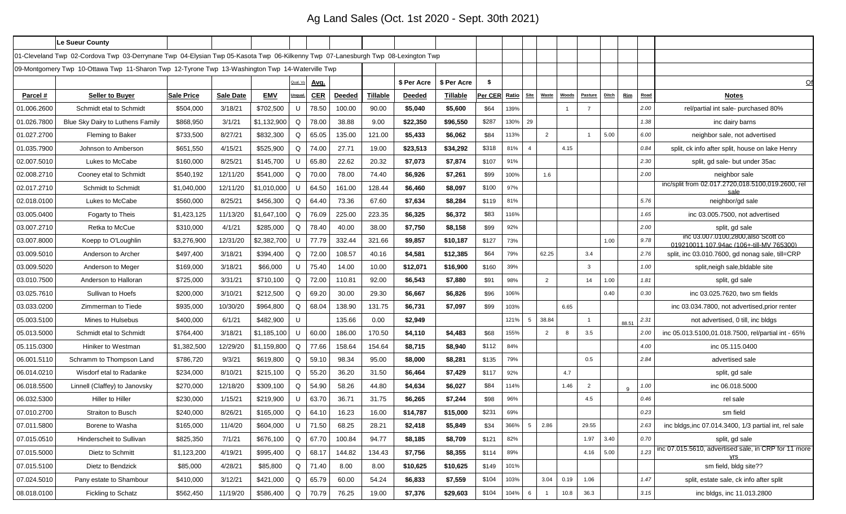# Ag Land Sales (Oct. 1st 2020 - Sept. 30th 2021)

|             | Le Sueur County                                                                                                                  |                   |                  |             |          |             |               |          |               |             |         |       |                |                |              |                |              |                |      |                                                                                 |
|-------------|----------------------------------------------------------------------------------------------------------------------------------|-------------------|------------------|-------------|----------|-------------|---------------|----------|---------------|-------------|---------|-------|----------------|----------------|--------------|----------------|--------------|----------------|------|---------------------------------------------------------------------------------|
|             | 01-Cleveland Twp 02-Cordova Twp 03-Derrynane Twp 04-Elysian Twp 05-Kasota Twp 06-Kilkenny Twp 07-Lanesburgh Twp 08-Lexington Twp |                   |                  |             |          |             |               |          |               |             |         |       |                |                |              |                |              |                |      |                                                                                 |
|             | 09-Montgomery Twp 10-Ottawa Twp 11-Sharon Twp 12-Tyrone Twp 13-Washington Twp 14-Waterville Twp                                  |                   |                  |             |          |             |               |          |               |             |         |       |                |                |              |                |              |                |      |                                                                                 |
|             |                                                                                                                                  |                   |                  |             | Qual. Vs | <u>Avg.</u> |               |          | \$ Per Acre   | \$ Per Acre | -\$     |       |                |                |              |                |              |                |      |                                                                                 |
| Parcel #    | <b>Seller to Buyer</b>                                                                                                           | <b>Sale Price</b> | <b>Sale Date</b> | EMV         | Ungual   | <b>CER</b>  | <b>Deeded</b> | Tillable | <b>Deeded</b> | Tillable    | Per CER | Ratio |                | Site Waste     | <u>Woods</u> | <u>Pasture</u> | <b>Ditch</b> | <u>Rim</u>     | Road | <u>Notes</u>                                                                    |
| 01.006.2600 | Schmidt etal to Schmidt                                                                                                          | \$504,000         | 3/18/21          | \$702,500   | U        | 78.50       | 100.00        | 90.00    | \$5,040       | \$5,600     | \$64    | 139%  |                |                |              |                |              |                | 2.00 | rel/partial int sale- purchased 80%                                             |
| 01.026.7800 | Blue Sky Dairy to Luthens Family                                                                                                 | \$868,950         | 3/1/21           | \$1,132,900 | Q        | 78.00       | 38.88         | 9.00     | \$22,350      | \$96,550    | \$287   | 130%  | 29             |                |              |                |              |                | 1.38 | inc dairy barns                                                                 |
| 01.027.2700 | <b>Fleming to Baker</b>                                                                                                          | \$733,500         | 8/27/21          | \$832,300   | Q        | 65.05       | 135.00        | 121.00   | \$5,433       | \$6,062     | \$84    | 13%   |                | 2              |              |                | 5.00         |                | 6.00 | neighbor sale, not advertised                                                   |
| 01.035.7900 | Johnson to Amberson                                                                                                              | \$651,550         | 4/15/21          | \$525,900   | Q        | 74.00       | 27.71         | 19.00    | \$23,513      | \$34,292    | \$318   | 81%   | $\overline{4}$ |                | 4.15         |                |              |                | 0.84 | split, ck info after split, house on lake Henry                                 |
| 02.007.5010 | Lukes to McCabe                                                                                                                  | \$160,000         | 8/25/21          | \$145,700   | U        | 65.80       | 22.62         | 20.32    | \$7,073       | \$7,874     | \$107   | 91%   |                |                |              |                |              |                | 2.30 | split, gd sale- but under 35ac                                                  |
| 02.008.2710 | Cooney etal to Schmidt                                                                                                           | \$540,192         | 12/11/20         | \$541,000   | Q        | 70.00       | 78.00         | 74.40    | \$6,926       | \$7,261     | \$99    | 100%  |                | 1.6            |              |                |              |                | 2.00 | neighbor sale                                                                   |
| 02.017.2710 | Schmidt to Schmidt                                                                                                               | \$1,040,000       | 12/11/20         | \$1,010,000 | U        | 64.50       | 161.00        | 128.44   | \$6,460       | \$8,097     | \$100   | 97%   |                |                |              |                |              |                |      | inc/split from 02.017.2720,018.5100,019.2600, rel<br>sale                       |
| 02.018.0100 | Lukes to McCabe                                                                                                                  | \$560,000         | 8/25/21          | \$456,300   | Q        | 64.40       | 73.36         | 67.60    | \$7,634       | \$8,284     | \$119   | 81%   |                |                |              |                |              |                | 5.76 | neighbor/gd sale                                                                |
| 03.005.0400 | Fogarty to Theis                                                                                                                 | \$1,423,125       | 11/13/20         | \$1,647,100 | Q        | 76.09       | 225.00        | 223.35   | \$6,325       | \$6,372     | \$83    | 116%  |                |                |              |                |              |                | 1.65 | inc 03.005.7500, not advertised                                                 |
| 03.007.2710 | Retka to McCue                                                                                                                   | \$310,000         | 4/1/21           | \$285,000   | Q        | 78.40       | 40.00         | 38.00    | \$7,750       | \$8,158     | \$99    | 92%   |                |                |              |                |              |                | 2.00 | split, gd sale                                                                  |
| 03.007.8000 | Koepp to O'Loughlin                                                                                                              | \$3,276,900       | 12/31/20         | \$2,382,700 | U        | 77.79       | 332.44        | 321.66   | \$9,857       | \$10,187    | \$127   | 73%   |                |                |              |                | 1.00         |                | 9.78 | inc 03.007.0100,2800, also Scott co<br>019210011.107.94ac (106+-till-MV 765300) |
| 03.009.5010 | Anderson to Archer                                                                                                               | \$497,400         | 3/18/21          | \$394,400   | Q        | 72.00       | 108.57        | 40.16    | \$4,581       | \$12,385    | \$64    | 79%   |                | 62.25          |              | 3.4            |              |                | 2.76 | split, inc 03.010.7600, gd nonag sale, till=CRP                                 |
| 03.009.5020 | Anderson to Meger                                                                                                                | \$169,000         | 3/18/21          | \$66,000    | U        | 75.40       | 14.00         | 10.00    | \$12,071      | \$16,900    | \$160   | 39%   |                |                |              | 3              |              |                | 1.00 | split, neigh sale, bldable site                                                 |
| 03.010.7500 | Anderson to Halloran                                                                                                             | \$725,000         | 3/31/21          | \$710,100   | O        | 72.00       | 110.81        | 92.00    | \$6,543       | \$7,880     | \$91    | 98%   |                | 2              |              | 14             | 1.00         |                | 1.81 | split, gd sale                                                                  |
| 03.025.7610 | Sullivan to Hoefs                                                                                                                | \$200,000         | 3/10/21          | \$212,500   | Q        | 69.20       | 30.00         | 29.30    | \$6,667       | \$6,826     | \$96    | 06%   |                |                |              |                | 0.40         |                | 0.30 | inc 03.025.7620, two sm fields                                                  |
| 03.033.0200 | Zimmerman to Tiede                                                                                                               | \$935,000         | 10/30/20         | \$964,800   | Q        | 68.04       | 138.90        | 131.75   | \$6,731       | \$7,097     | \$99    | 103%  |                |                | 6.65         |                |              |                |      | inc 03.034.7800, not advertised, prior renter                                   |
| 05.003.5100 | Mines to Hulsebus                                                                                                                | \$400,000         | 6/1/21           | \$482,900   | U        |             | 135.66        | 0.00     | \$2,949       |             |         | 121%  | 5 <sup>5</sup> | 38.84          |              |                |              | $88.5^{\circ}$ | 2.31 | not advertised, 0 till, inc bldgs                                               |
| 05.013.5000 | Schmidt etal to Schmidt                                                                                                          | \$764,400         | 3/18/21          | \$1,185,100 | U        | 60.00       | 186.00        | 170.50   | \$4,110       | \$4,483     | \$68    | 155%  |                | $\overline{2}$ | -8           | 3.5            |              |                | 2.00 | inc 05.013.5100,01.018.7500, rel/partial int - 65%                              |
| 05.115.0300 | Hiniker to Westman                                                                                                               | \$1,382,500       | 12/29/20         | \$1,159,800 | Q        | 77.66       | 158.64        | 154.64   | \$8,715       | \$8,940     | \$112   | 84%   |                |                |              |                |              |                | 4.00 | inc 05.115.0400                                                                 |
| 06.001.5110 | Schramm to Thompson Land                                                                                                         | \$786,720         | 9/3/21           | \$619,800   | Q        | 59.10       | 98.34         | 95.00    | \$8,000       | \$8,281     | \$135   | 79%   |                |                |              | 0.5            |              |                | 2.84 | advertised sale                                                                 |
| 06.014.0210 | Wisdorf etal to Radanke                                                                                                          | \$234,000         | 8/10/21          | \$215,100   | Q        | 55.20       | 36.20         | 31.50    | \$6,464       | \$7,429     | \$117   | 92%   |                |                | 4.7          |                |              |                |      | split, gd sale                                                                  |
| 06.018.5500 | Linnell (Claffey) to Janovsky                                                                                                    | \$270,000         | 12/18/20         | \$309,100   | O        | 54.90       | 58.26         | 44.80    | \$4,634       | \$6,027     | \$84    | 114%  |                |                | 1.46         | $\overline{2}$ |              | <b>q</b>       | 1.00 | inc 06.018.5000                                                                 |
| 06.032.5300 | Hiller to Hiller                                                                                                                 | \$230,000         | 1/15/21          | \$219,900   | U        | 63.70       | 36.71         | 31.75    | \$6,265       | \$7,244     | \$98    | 96%   |                |                |              | 4.5            |              |                | 0.46 | rel sale                                                                        |
| 07.010.2700 | Straiton to Busch                                                                                                                | \$240,000         | 8/26/21          | \$165,000   | $\sf Q$  | 64.10       | 16.23         | 16.00    | \$14,787      | \$15,000    | \$231   | 69%   |                |                |              |                |              |                | 0.23 | sm field                                                                        |
| 07.011.5800 | Borene to Washa                                                                                                                  | \$165,000         | 11/4/20          | \$604,000   | U        | 71.50       | 68.25         | 28.21    | \$2,418       | \$5,849     | \$34    | 366%  | 5 1            | 2.86           |              | 29.55          |              |                | 2.63 | inc bldgs, inc 07.014.3400, 1/3 partial int, rel sale                           |
| 07.015.0510 | Hinderscheit to Sullivan                                                                                                         | \$825,350         | 7/1/21           | \$676,100   | Q        | 67.70       | 100.84        | 94.77    | \$8,185       | \$8,709     | \$121   | 82%   |                |                |              | 1.97           | 3.40         |                | 0.70 | split, gd sale                                                                  |
| 07.015.5000 | Dietz to Schmitt                                                                                                                 | \$1,123,200       | 4/19/21          | \$995,400   | Q        | 68.17       | 144.82        | 134.43   | \$7,756       | \$8,355     | \$114   | 89%   |                |                |              | 4.16           | 5.00         |                | 1.23 | inc 07.015.5610, advertised sale, in CRP for 11 more<br><b>Vrs</b>              |
| 07.015.5100 | Dietz to Bendzick                                                                                                                | \$85,000          | 4/28/21          | \$85,800    | Q        | 71.40       | 8.00          | 8.00     | \$10,625      | \$10,625    | \$149   | 101%  |                |                |              |                |              |                |      | sm field, bldg site??                                                           |
| 07.024.5010 | Pany estate to Shambour                                                                                                          | \$410,000         | 3/12/21          | \$421,000   | Q        | 65.79       | 60.00         | 54.24    | \$6,833       | \$7,559     | \$104   | 103%  |                | 3.04           | 0.19         | 1.06           |              |                | 1.47 | split, estate sale, ck info after split                                         |
| 08.018.0100 | Fickling to Schatz                                                                                                               | \$562,450         | 11/19/20         | \$586,400   | Q        | 70.79       | 76.25         | 19.00    | \$7,376       | \$29,603    | \$104   | 104%  | 6              | $\overline{1}$ | 10.8         | 36.3           |              |                | 3.15 | inc bldgs, inc 11.013.2800                                                      |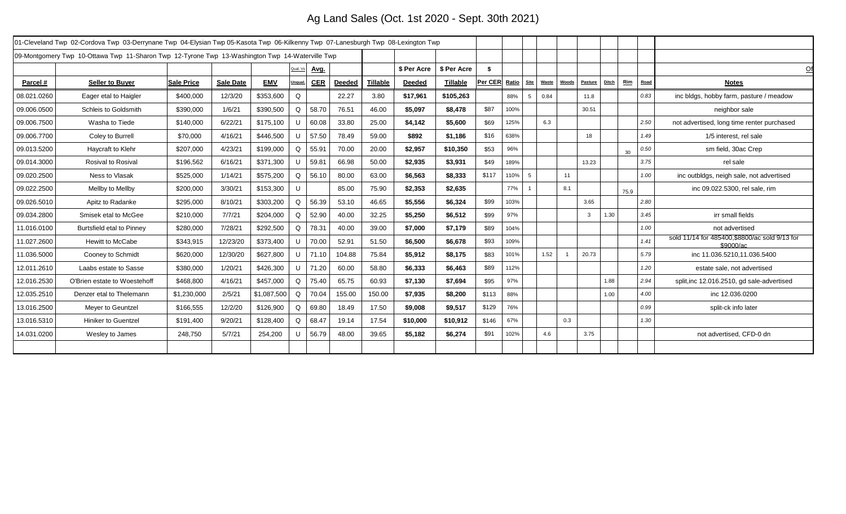# Ag Land Sales (Oct. 1st 2020 - Sept. 30th 2021)

|             | 01-Cleveland Twp 02-Cordova Twp 03-Derrynane Twp 04-Elysian Twp 05-Kasota Twp 06-Kilkenny Twp 07-Lanesburgh Twp 08-Lexington Twp |                   |                  |             |          |            |               |          |             |             |               |      |                      |              |                |                            |      |                                                             |
|-------------|----------------------------------------------------------------------------------------------------------------------------------|-------------------|------------------|-------------|----------|------------|---------------|----------|-------------|-------------|---------------|------|----------------------|--------------|----------------|----------------------------|------|-------------------------------------------------------------|
|             | 09-Montgomery Twp 10-Ottawa Twp 11-Sharon Twp 12-Tyrone Twp 13-Washington Twp 14-Waterville Twp                                  |                   |                  |             |          |            |               |          |             |             |               |      |                      |              |                |                            |      |                                                             |
|             |                                                                                                                                  |                   |                  |             | Qual. Vs | Avg.       |               |          | \$ Per Acre | \$ Per Acre | \$            |      |                      |              |                |                            |      |                                                             |
| Parcel#     | <b>Seller to Buyer</b>                                                                                                           | <b>Sale Price</b> | <b>Sale Date</b> | <b>EMV</b>  | Unqual   | <b>CER</b> | <b>Deeded</b> | Tillable | Deeded      | Tillable    | Per CER Ratio |      | Site<br><b>Waste</b> | <b>Woods</b> | <b>Pasture</b> | <b>Ditch</b><br><u>Rim</u> | Road | <b>Notes</b>                                                |
| 08.021.0260 | Eager etal to Haigler                                                                                                            | \$400,000         | 12/3/20          | \$353,600   | Q        |            | 22.27         | 3.80     | \$17,961    | \$105,263   |               | 88%  | 0.84<br>5            |              | 11.8           |                            | 0.83 | inc bldgs, hobby farm, pasture / meadow                     |
| 09.006.0500 | Schleis to Goldsmith                                                                                                             | \$390,000         | 1/6/21           | \$390,500   | $\Omega$ | 58.70      | 76.51         | 46.00    | \$5,097     | \$8,478     | \$87          | 100% |                      |              | 30.51          |                            |      | neighbor sale                                               |
| 09.006.7500 | Washa to Tiede                                                                                                                   | \$140,000         | 6/22/21          | \$175,100   | U        | 60.08      | 33.80         | 25.00    | \$4,142     | \$5,600     | \$69          | 125% | 6.3                  |              |                |                            | 2.50 | not advertised, long time renter purchased                  |
| 09.006.7700 | Coley to Burrell                                                                                                                 | \$70,000          | 4/16/21          | \$446,500   | U        | 57.50      | 78.49         | 59.00    | \$892       | \$1,186     | \$16          | 638% |                      |              | 18             |                            | 1.49 | 1/5 interest, rel sale                                      |
| 09.013.5200 | Haycraft to Klehr                                                                                                                | \$207,000         | 4/23/21          | \$199,000   | $\Omega$ | 55.91      | 70.00         | 20.00    | \$2,957     | \$10,350    | \$53          | 96%  |                      |              |                | 30                         | 0.50 | sm field, 30ac Crep                                         |
| 09.014.3000 | <b>Rosival to Rosival</b>                                                                                                        | \$196,562         | 6/16/21          | \$371,300   | U        | 59.8'      | 66.98         | 50.00    | \$2.935     | \$3,931     | \$49          | 189% |                      |              | 13.23          |                            | 3.75 | rel sale                                                    |
| 09.020.2500 | Ness to Vlasak                                                                                                                   | \$525,000         | 1/14/21          | \$575,200   | Q        | 56.10      | 80.00         | 63.00    | \$6,563     | \$8,333     | \$117         | 110% | 5                    | 11           |                |                            | 1.00 | inc outbldgs, neigh sale, not advertised                    |
| 09.022.2500 | Mellby to Mellby                                                                                                                 | \$200,000         | 3/30/21          | \$153,300   | $\cup$   |            | 85.00         | 75.90    | \$2,353     | \$2.635     |               | 77%  |                      | 8.1          |                | 75.9                       |      | inc 09.022.5300, rel sale, rim                              |
| 09.026.5010 | Apitz to Radanke                                                                                                                 | \$295,000         | 8/10/21          | \$303,200   | Q        | 56.39      | 53.10         | 46.65    | \$5,556     | \$6,324     | \$99          | 103% |                      |              | 3.65           |                            | 2.80 |                                                             |
| 09.034.2800 | Smisek etal to McGee                                                                                                             | \$210,000         | 7/7/21           | \$204,000   | $\Omega$ | 52.90      | 40.00         | 32.25    | \$5,250     | \$6,512     | \$99          | 97%  |                      |              | 3              | 1.30                       | 3.45 | irr small fields                                            |
| 11.016.0100 | <b>Burtsfield etal to Pinney</b>                                                                                                 | \$280,000         | 7/28/21          | \$292,500   | O        | 78.31      | 40.00         | 39.00    | \$7,000     | \$7,179     | \$89          | 104% |                      |              |                |                            | 1.00 | not advertised                                              |
| 11.027.2600 | <b>Hewitt to McCabe</b>                                                                                                          | \$343,915         | 12/23/20         | \$373,400   | U        | 70.00      | 52.91         | 51.50    | \$6,500     | \$6,678     | \$93          | 109% |                      |              |                |                            | 1.41 | sold 11/14 for 485400, \$8800/ac sold 9/13 for<br>\$9000/ac |
| 11.036.5000 | Cooney to Schmidt                                                                                                                | \$620,000         | 12/30/20         | \$627,800   | U        | 71.10      | 104.88        | 75.84    | \$5,912     | \$8,175     | \$83          | 101% | 1.52                 |              | 20.73          |                            | 5.79 | inc 11.036.5210,11.036.5400                                 |
| 12.011.2610 | Laabs estate to Sasse                                                                                                            | \$380,000         | 1/20/21          | \$426,300   | U        | 71.20      | 60.00         | 58.80    | \$6,333     | \$6,463     | \$89          | 112% |                      |              |                |                            | 1.20 | estate sale, not advertised                                 |
| 12.016.2530 | O'Brien estate to Woestehoff                                                                                                     | \$468,800         | 4/16/21          | \$457,000   | $\Omega$ | 75.40      | 65.75         | 60.93    | \$7,130     | \$7,694     | \$95          | 97%  |                      |              |                | 1.88                       | 2.94 | split, inc 12.016.2510, gd sale-advertised                  |
| 12.035.2510 | Denzer etal to Thelemann                                                                                                         | \$1,230,000       | 2/5/21           | \$1,087,500 | Q        | 70.04      | 155.00        | 150.00   | \$7,935     | \$8,200     | \$113         | 88%  |                      |              |                | 1.00                       | 4.00 | inc 12.036.0200                                             |
| 13.016.2500 | Meyer to Geuntzel                                                                                                                | \$166,555         | 12/2/20          | \$126,900   | Q        | 69.80      | 18.49         | 17.50    | \$9,008     | \$9,517     | \$129         | 76%  |                      |              |                |                            | 0.99 | split-ck info later                                         |
| 13.016.5310 | <b>Hiniker to Guentzel</b>                                                                                                       | \$191,400         | 9/20/21          | \$128,400   | Q        | 68.47      | 19.14         | 17.54    | \$10,000    | \$10,912    | \$146         | 67%  |                      | 0.3          |                |                            | 1.30 |                                                             |
| 14.031.0200 | Wesley to James                                                                                                                  | 248,750           | 5/7/21           | 254,200     | U        | 56.79      | 48.00         | 39.65    | \$5,182     | \$6,274     | \$91          | 102% | 4.6                  |              | 3.75           |                            |      | not advertised, CFD-0 dn                                    |
|             |                                                                                                                                  |                   |                  |             |          |            |               |          |             |             |               |      |                      |              |                |                            |      |                                                             |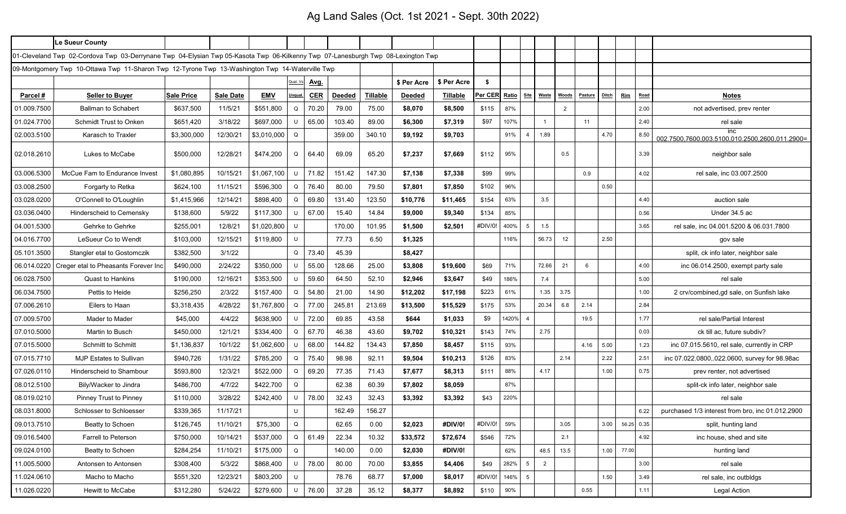# Ag Land Sales (Oct. 1st 2021 - Sept. 30th 2022)

|             | Le Sueur County                                                                                                                  |                   |                  |             |          |             |               |          |               |                 |               |       |                 |              |                |                |              |            |      |                                                       |
|-------------|----------------------------------------------------------------------------------------------------------------------------------|-------------------|------------------|-------------|----------|-------------|---------------|----------|---------------|-----------------|---------------|-------|-----------------|--------------|----------------|----------------|--------------|------------|------|-------------------------------------------------------|
|             | 01-Cleveland Twp 02-Cordova Twp 03-Derrynane Twp 04-Elysian Twp 05-Kasota Twp 06-Kilkenny Twp 07-Lanesburgh Twp 08-Lexington Twp |                   |                  |             |          |             |               |          |               |                 |               |       |                 |              |                |                |              |            |      |                                                       |
|             | 09-Montgomery Twp  10-Ottawa Twp  11-Sharon Twp  12-Tyrone Twp  13-Washington Twp  14-Waterville Twp                             |                   |                  |             |          |             |               |          |               |                 |               |       |                 |              |                |                |              |            |      |                                                       |
|             |                                                                                                                                  |                   |                  |             | Qual. Vs | <u>Avg.</u> |               |          | \$ Per Acre   | \$ Per Acre     | -\$           |       |                 |              |                |                |              |            |      |                                                       |
| Parcel #    | <b>Seller to Buyer</b>                                                                                                           | <b>Sale Price</b> | <b>Sale Date</b> | <b>EMV</b>  | Unqual   | CER         | <b>Deeded</b> | Tillable | <b>Deeded</b> | <b>Tillable</b> | Per CER Ratio |       | Site            | <b>Waste</b> | <b>Woods</b>   | <b>Pasture</b> | <b>Ditch</b> | <b>Rim</b> | Road | <b>Notes</b>                                          |
| 01.009.7500 | <b>Ballman to Schabert</b>                                                                                                       | \$637,500         | 11/5/21          | \$551,800   | Q        | 70.20       | 79.00         | 75.00    | \$8,070       | \$8,500         | \$115         | 87%   |                 |              | $\overline{2}$ |                |              |            | 2.00 | not advertised, prev renter                           |
| 01.024.7700 | Schmidt Trust to Onken                                                                                                           | \$651,420         | 3/18/22          | \$697,000   | U        | 65.00       | 103.40        | 89.00    | \$6,300       | \$7,319         | \$97          | 107%  |                 |              |                | 11             |              |            | 2.40 | rel sale                                              |
| 02.003.5100 | Karasch to Traxler                                                                                                               | \$3,300,000       | 12/30/21         | \$3,010,000 | Q        |             | 359.00        | 340.10   | \$9,192       | \$9,703         |               | 91%   | $\overline{4}$  | 1.89         |                |                | 4.70         |            | 8.50 | inc<br>002 7500 7600 003 5100 010 2500 2600 011 2900= |
| 02.018.2610 | Lukes to McCabe                                                                                                                  | \$500,000         | 12/28/21         | \$474,200   | Q        | 64.40       | 69.09         | 65.20    | \$7,237       | \$7,669         | \$112         | 95%   |                 |              | 0.5            |                |              |            | 3.39 | neighbor sale                                         |
| 03.006.5300 | McCue Fam to Endurance Invest                                                                                                    | \$1,080,895       | 10/15/21         | \$1,067,100 | U        | 71.82       | 151.42        | 147.30   | \$7,138       | \$7,338         | \$99          | 99%   |                 |              |                | 0.9            |              |            | 4.02 | rel sale, inc 03.007.2500                             |
| 03.008.2500 | Forgarty to Retka                                                                                                                | \$624,100         | 11/15/21         | \$596,300   | Q        | 76.40       | 80.00         | 79.50    | \$7,801       | \$7,850         | \$102         | 96%   |                 |              |                |                | 0.50         |            |      |                                                       |
| 03.028.0200 | O'Connell to O'Loughlin                                                                                                          | \$1,415,966       | 12/14/21         | \$898,400   | Q        | 69.80       | 131.40        | 123.50   | \$10,776      | \$11,465        | \$154         | 63%   |                 | 3.5          |                |                |              |            | 4.40 | auction sale                                          |
| 03.036.0400 | Hinderscheid to Cemensky                                                                                                         | \$138,600         | 5/9/22           | \$117,300   | U        | 67.00       | 15.40         | 14.84    | \$9,000       | \$9,340         | \$134         | 85%   |                 |              |                |                |              |            | 0.56 | Under 34.5 ac                                         |
| 04.001.5300 | Gehrke to Gehrke                                                                                                                 | \$255,001         | 12/8/21          | \$1,020,800 | U        |             | 170.00        | 101.95   | \$1,500       | \$2,501         | #DIV/0!       | 400%  | 5               | 1.5          |                |                |              |            | 3.65 | rel sale, inc 04.001.5200 & 06.031.7800               |
| 04.016.7700 | LeSueur Co to Wendt                                                                                                              | \$103,000         | 12/15/21         | \$119,800   | $\cup$   |             | 77.73         | 6.50     | \$1,325       |                 |               | 116%  |                 | 56.73        | 12             |                | 2.50         |            |      | gov sale                                              |
| 05.101.3500 | Stangler etal to Gostomczik                                                                                                      | \$382,500         | 3/1/22           |             | Q        | 73.40       | 45.39         |          | \$8,427       |                 |               |       |                 |              |                |                |              |            |      | split, ck info later, neighbor sale                   |
|             | 06.014.0220   Creger etal to Pheasants Forever Inc                                                                               | \$490,000         | 2/24/22          | \$350,000   | U        | 55.00       | 128.66        | 25.00    | \$3,808       | \$19,600        | \$69          | 71%   |                 | 72.66        | 21             | 6              |              |            | 4.00 | inc 06.014.2500, exempt party sale                    |
| 06.028.7500 | <b>Quast to Hankins</b>                                                                                                          | \$190,000         | 12/16/21         | \$353,500   | U        | 59.60       | 64.50         | 52.10    | \$2,946       | \$3,647         | \$49          | 186%  |                 | 7.4          |                |                |              |            | 5.00 | rel sale                                              |
| 06.034.7500 | Pettis to Heide                                                                                                                  | \$256,250         | 2/3/22           | \$157,400   | Q        | 54.80       | 21.00         | 14.90    | \$12,202      | \$17,198        | \$223         | 61%   |                 | 1.35         | 3.75           |                |              |            | 1.00 | 2 crv/combined, gd sale, on Sunfish lake              |
| 07.006.2610 | Eilers to Haan                                                                                                                   | \$3,318,435       | 4/28/22          | \$1,767,800 | Q        | 77.00       | 245.81        | 213.69   | \$13,500      | \$15,529        | \$175         | 53%   |                 | 20.34        | 6.8            | 2.14           |              |            | 2.84 |                                                       |
| 07.009.5700 | Mader to Mader                                                                                                                   | \$45,000          | 4/4/22           | \$638,900   | U        | 72.00       | 69.85         | 43.58    | \$644         | \$1,033         | \$9           | 1420% | $\overline{4}$  |              |                | 19.5           |              |            | 1.77 | rel sale/Partial Interest                             |
| 07.010.5000 | Martin to Busch                                                                                                                  | \$450,000         | 12/1/21          | \$334,400   | Q        | 67.70       | 46.38         | 43.60    | \$9,702       | \$10,321        | \$143         | 74%   |                 | 2.75         |                |                |              |            | 0.03 | ck till ac, future subdiv?                            |
| 07.015.5000 | Schmitt to Schmitt                                                                                                               | \$1,136,837       | 10/1/22          | \$1,062,600 |          | 68.00       | 144.82        | 134.43   | \$7,850       | \$8,457         | \$115         | 93%   |                 |              |                | 4.16           | 5.00         |            | 1.23 | inc 07.015.5610, rel sale, currently in CRP           |
| 07.015.7710 | <b>MJP Estates to Sullivan</b>                                                                                                   | \$940,726         | 1/31/22          | \$785,200   | Q        | 75.40       | 98.98         | 92.11    | \$9,504       | \$10,213        | \$126         | 83%   |                 |              | 2.14           |                | 2.22         |            | 2.51 | inc 07.022.0800, 022.0600, survey for 98.98ac         |
| 07.026.0110 | Hinderscheid to Shambour                                                                                                         | \$593,800         | 12/3/21          | \$522,000   | Q        | 69.20       | 77.35         | 71.43    | \$7,677       | \$8,313         | \$111         | 88%   |                 | 4.17         |                |                | 1.00         |            | 0.75 | prev renter, not advertised                           |
| 08.012.5100 | Bily/Wacker to Jindra                                                                                                            | \$486,700         | 4/7/22           | \$422,700   | Q        |             | 62.38         | 60.39    | \$7,802       | \$8,059         |               | 87%   |                 |              |                |                |              |            |      | split-ck info later, neighbor sale                    |
| 08.019.0210 | Pinney Trust to Pinney                                                                                                           | \$110,000         | 3/28/22          | \$242,400   | U        | 78.00       | 32.43         | 32.43    | \$3,392       | \$3,392         | \$43          | 220%  |                 |              |                |                |              |            |      | rel sale                                              |
| 08.031.8000 | Schlosser to Schloesser                                                                                                          | \$339,365         | 11/17/21         |             |          |             | 162.49        | 156.27   |               |                 |               |       |                 |              |                |                |              |            | 6.22 | purchased 1/3 interest from bro, inc 01.012.2900      |
| 09.013.7510 | Beatty to Schoen                                                                                                                 | \$126,745         | 11/10/21         | \$75,300    | Q        |             | 62.65         | 0.00     | \$2,023       | #DIV/0!         | #DIV/0!       | 59%   |                 |              | 3.05           |                | 3.00         | 56.25      | 0.35 | split, hunting land                                   |
| 09.016.5400 | Farrell to Peterson                                                                                                              | \$750,000         | 10/14/21         | \$537,000   | Q        | 61.49       | 22.34         | 10.32    | \$33,572      | \$72,674        | \$546         | 72%   |                 |              | 2.1            |                |              |            | 4.92 | inc house, shed and site                              |
| 09.024.0100 | Beatty to Schoen                                                                                                                 | \$284,254         | 11/10/21         | \$175,000   | Q        |             | 140.00        | 0.00     | \$2,030       | #DIV/0!         |               | 62%   |                 | 48.5         | 13.5           |                | 1.00         | 77.00      |      | hunting land                                          |
| 11.005.5000 | Antonsen to Antonsen                                                                                                             | \$308,400         | 5/3/22           | \$868,400   | U        | 78.00       | 80.00         | 70.00    | \$3,855       | \$4,406         | \$49          | 282%  | 5               | 2            |                |                |              |            | 3.00 | rel sale                                              |
| 11.024.0610 | Macho to Macho                                                                                                                   | \$551,320         | 12/23/21         | \$803,200   | U        |             | 78.76         | 68.77    | \$7,000       | \$8,017         | #DIV/0!       | 146%  | $5\overline{5}$ |              |                |                | 1.50         |            | 3.49 | rel sale, inc outbldgs                                |
| 11.026.0220 | Hewitt to McCabe                                                                                                                 | \$312,280         | 5/24/22          | \$279,600   | U        | 76.00       | 37.28         | 35.12    | \$8,377       | \$8,892         | \$110         | 90%   |                 |              |                | 0.55           |              |            | 1.11 | <b>Legal Action</b>                                   |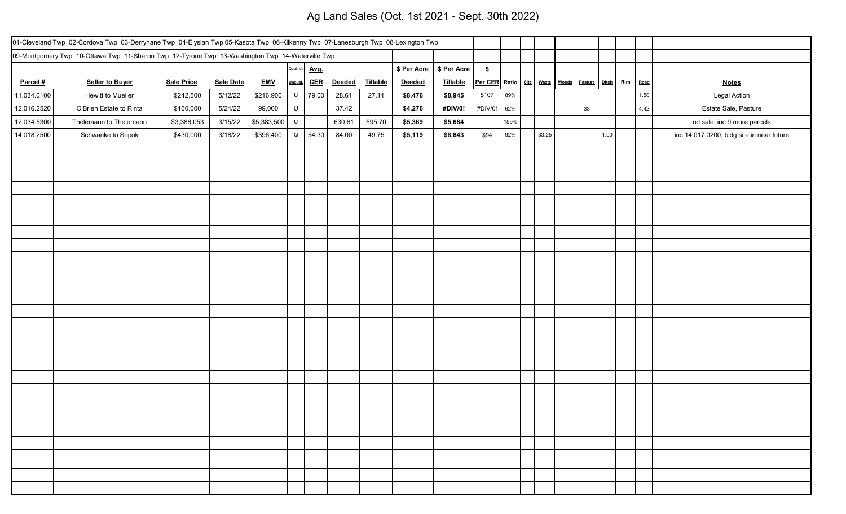# Ag Land Sales (Oct. 1st 2021 - Sept. 30th 2022)

|             | 01-Cleveland Twp 02-Cordova Twp 03-Derrynane Twp 04-Elysian Twp 05-Kasota Twp 06-Kilkenny Twp 07-Lanesburgh Twp 08-Lexington Twp |                   |                  |             |             |       |        |          |             |             |                                      |      |       |         |              |     |      |                                           |
|-------------|----------------------------------------------------------------------------------------------------------------------------------|-------------------|------------------|-------------|-------------|-------|--------|----------|-------------|-------------|--------------------------------------|------|-------|---------|--------------|-----|------|-------------------------------------------|
|             | 09-Montgomery Twp 10-Ottawa Twp 11-Sharon Twp 12-Tyrone Twp 13-Washington Twp 14-Waterville Twp                                  |                   |                  |             |             |       |        |          |             |             |                                      |      |       |         |              |     |      |                                           |
|             |                                                                                                                                  |                   |                  |             | Qual. Vs    | Avg.  |        |          | \$ Per Acre | \$ Per Acre | $\sqrt[6]{\frac{1}{2}}$              |      |       |         |              |     |      |                                           |
| Parcel #    | <b>Seller to Buyer</b>                                                                                                           | <b>Sale Price</b> | <b>Sale Date</b> | <b>EMV</b>  | Unqual.     | CER   | Deeded | Tillable | Deeded      | Tillable    | Per CER Ratio   Site   Waste   Woods |      |       | Pasture | <b>Ditch</b> | Rim | Road | <b>Notes</b>                              |
| 11.034.0100 | Hewitt to Mueller                                                                                                                | \$242,500         | 5/12/22          | \$216,900   | U           | 79.00 | 28.61  | 27.11    | \$8,476     | \$8,945     | \$107                                | 89%  |       |         |              |     | 1.50 | <b>Legal Action</b>                       |
| 12.016.2520 | O'Brien Estate to Rinta                                                                                                          | \$160,000         | 5/24/22          | 99,000      | $\sf U$     |       | 37.42  |          | \$4,276     | #DIV/0!     | #DIV/0!                              | 62%  |       | 33      |              |     | 4.42 | Estate Sale, Pasture                      |
| 12.034.5300 | Thelemann to Thelemann                                                                                                           | \$3,386,053       | 3/15/22          | \$5,383,500 | $\sf U$     |       | 630.61 | 595.70   | \$5,369     | \$5,684     |                                      | 159% |       |         |              |     |      | rel sale, inc 9 more parcels              |
| 14.018.2500 | Schwanke to Sopok                                                                                                                | \$430,000         | 3/18/22          | \$396,400   | $\mathsf Q$ | 54.30 | 84.00  | 49.75    | \$5,119     | \$8,643     | \$94                                 | 92%  | 33.25 |         | 1.00         |     |      | inc 14.017.0200, bldg site in near future |
|             |                                                                                                                                  |                   |                  |             |             |       |        |          |             |             |                                      |      |       |         |              |     |      |                                           |
|             |                                                                                                                                  |                   |                  |             |             |       |        |          |             |             |                                      |      |       |         |              |     |      |                                           |
|             |                                                                                                                                  |                   |                  |             |             |       |        |          |             |             |                                      |      |       |         |              |     |      |                                           |
|             |                                                                                                                                  |                   |                  |             |             |       |        |          |             |             |                                      |      |       |         |              |     |      |                                           |
|             |                                                                                                                                  |                   |                  |             |             |       |        |          |             |             |                                      |      |       |         |              |     |      |                                           |
|             |                                                                                                                                  |                   |                  |             |             |       |        |          |             |             |                                      |      |       |         |              |     |      |                                           |
|             |                                                                                                                                  |                   |                  |             |             |       |        |          |             |             |                                      |      |       |         |              |     |      |                                           |
|             |                                                                                                                                  |                   |                  |             |             |       |        |          |             |             |                                      |      |       |         |              |     |      |                                           |
|             |                                                                                                                                  |                   |                  |             |             |       |        |          |             |             |                                      |      |       |         |              |     |      |                                           |
|             |                                                                                                                                  |                   |                  |             |             |       |        |          |             |             |                                      |      |       |         |              |     |      |                                           |
|             |                                                                                                                                  |                   |                  |             |             |       |        |          |             |             |                                      |      |       |         |              |     |      |                                           |
|             |                                                                                                                                  |                   |                  |             |             |       |        |          |             |             |                                      |      |       |         |              |     |      |                                           |
|             |                                                                                                                                  |                   |                  |             |             |       |        |          |             |             |                                      |      |       |         |              |     |      |                                           |
|             |                                                                                                                                  |                   |                  |             |             |       |        |          |             |             |                                      |      |       |         |              |     |      |                                           |
|             |                                                                                                                                  |                   |                  |             |             |       |        |          |             |             |                                      |      |       |         |              |     |      |                                           |
|             |                                                                                                                                  |                   |                  |             |             |       |        |          |             |             |                                      |      |       |         |              |     |      |                                           |
|             |                                                                                                                                  |                   |                  |             |             |       |        |          |             |             |                                      |      |       |         |              |     |      |                                           |
|             |                                                                                                                                  |                   |                  |             |             |       |        |          |             |             |                                      |      |       |         |              |     |      |                                           |
|             |                                                                                                                                  |                   |                  |             |             |       |        |          |             |             |                                      |      |       |         |              |     |      |                                           |
|             |                                                                                                                                  |                   |                  |             |             |       |        |          |             |             |                                      |      |       |         |              |     |      |                                           |
|             |                                                                                                                                  |                   |                  |             |             |       |        |          |             |             |                                      |      |       |         |              |     |      |                                           |
|             |                                                                                                                                  |                   |                  |             |             |       |        |          |             |             |                                      |      |       |         |              |     |      |                                           |
|             |                                                                                                                                  |                   |                  |             |             |       |        |          |             |             |                                      |      |       |         |              |     |      |                                           |
|             |                                                                                                                                  |                   |                  |             |             |       |        |          |             |             |                                      |      |       |         |              |     |      |                                           |
|             |                                                                                                                                  |                   |                  |             |             |       |        |          |             |             |                                      |      |       |         |              |     |      |                                           |
|             |                                                                                                                                  |                   |                  |             |             |       |        |          |             |             |                                      |      |       |         |              |     |      |                                           |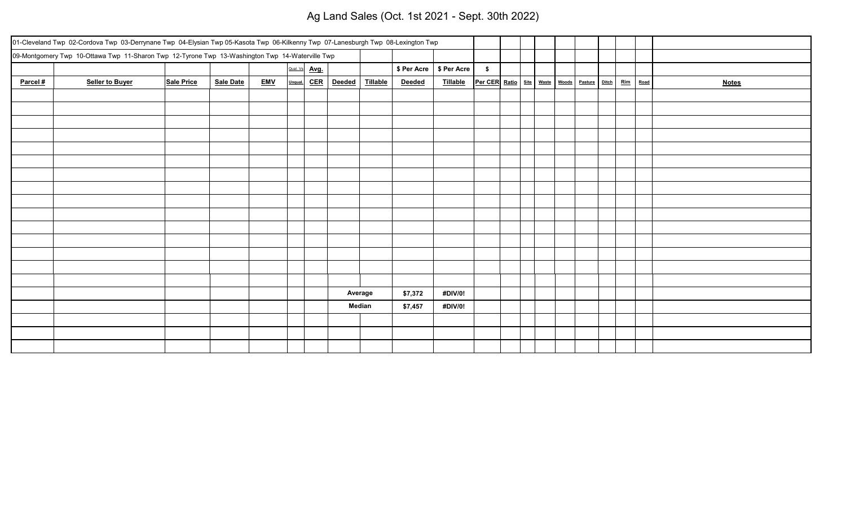# Ag Land Sales (Oct. 1st 2021 - Sept. 30th 2022)

|          | 01-Cleveland Twp 02-Cordova Twp 03-Derrynane Twp 04-Elysian Twp 05-Kasota Twp 06-Kilkenny Twp 07-Lanesburgh Twp 08-Lexington Twp |            |           |            |         |               |               |          |                           |          |                                                                     |  |  |  |              |
|----------|----------------------------------------------------------------------------------------------------------------------------------|------------|-----------|------------|---------|---------------|---------------|----------|---------------------------|----------|---------------------------------------------------------------------|--|--|--|--------------|
|          | 09-Montgomery Twp 10-Ottawa Twp 11-Sharon Twp 12-Tyrone Twp 13-Washington Twp 14-Waterville Twp                                  |            |           |            |         |               |               |          |                           |          |                                                                     |  |  |  |              |
|          |                                                                                                                                  |            |           |            |         | Qual. Vs Avg. |               |          | \$ Per Acre   \$ Per Acre |          | $\frac{1}{2}$                                                       |  |  |  |              |
| Parcel # | <b>Seller to Buyer</b>                                                                                                           | Sale Price | Sale Date | <b>EMV</b> | Unqual. | <u>CER</u>    | <b>Deeded</b> | Tillable | Deeded                    | Tillable | Per CER Ratio   Site   Waste   Woods   Pasture   Ditch   Rim   Road |  |  |  | <b>Notes</b> |
|          |                                                                                                                                  |            |           |            |         |               |               |          |                           |          |                                                                     |  |  |  |              |
|          |                                                                                                                                  |            |           |            |         |               |               |          |                           |          |                                                                     |  |  |  |              |
|          |                                                                                                                                  |            |           |            |         |               |               |          |                           |          |                                                                     |  |  |  |              |
|          |                                                                                                                                  |            |           |            |         |               |               |          |                           |          |                                                                     |  |  |  |              |
|          |                                                                                                                                  |            |           |            |         |               |               |          |                           |          |                                                                     |  |  |  |              |
|          |                                                                                                                                  |            |           |            |         |               |               |          |                           |          |                                                                     |  |  |  |              |
|          |                                                                                                                                  |            |           |            |         |               |               |          |                           |          |                                                                     |  |  |  |              |
|          |                                                                                                                                  |            |           |            |         |               |               |          |                           |          |                                                                     |  |  |  |              |
|          |                                                                                                                                  |            |           |            |         |               |               |          |                           |          |                                                                     |  |  |  |              |
|          |                                                                                                                                  |            |           |            |         |               |               |          |                           |          |                                                                     |  |  |  |              |
|          |                                                                                                                                  |            |           |            |         |               |               |          |                           |          |                                                                     |  |  |  |              |
|          |                                                                                                                                  |            |           |            |         |               |               |          |                           |          |                                                                     |  |  |  |              |
|          |                                                                                                                                  |            |           |            |         |               |               |          |                           |          |                                                                     |  |  |  |              |
|          |                                                                                                                                  |            |           |            |         |               |               |          |                           |          |                                                                     |  |  |  |              |
|          |                                                                                                                                  |            |           |            |         |               |               |          |                           |          |                                                                     |  |  |  |              |
|          |                                                                                                                                  |            |           |            |         |               |               | Average  | \$7,372                   | #DIV/0!  |                                                                     |  |  |  |              |
|          |                                                                                                                                  |            |           |            |         |               |               | Median   | \$7,457                   | #DIV/0!  |                                                                     |  |  |  |              |
|          |                                                                                                                                  |            |           |            |         |               |               |          |                           |          |                                                                     |  |  |  |              |
|          |                                                                                                                                  |            |           |            |         |               |               |          |                           |          |                                                                     |  |  |  |              |
|          |                                                                                                                                  |            |           |            |         |               |               |          |                           |          |                                                                     |  |  |  |              |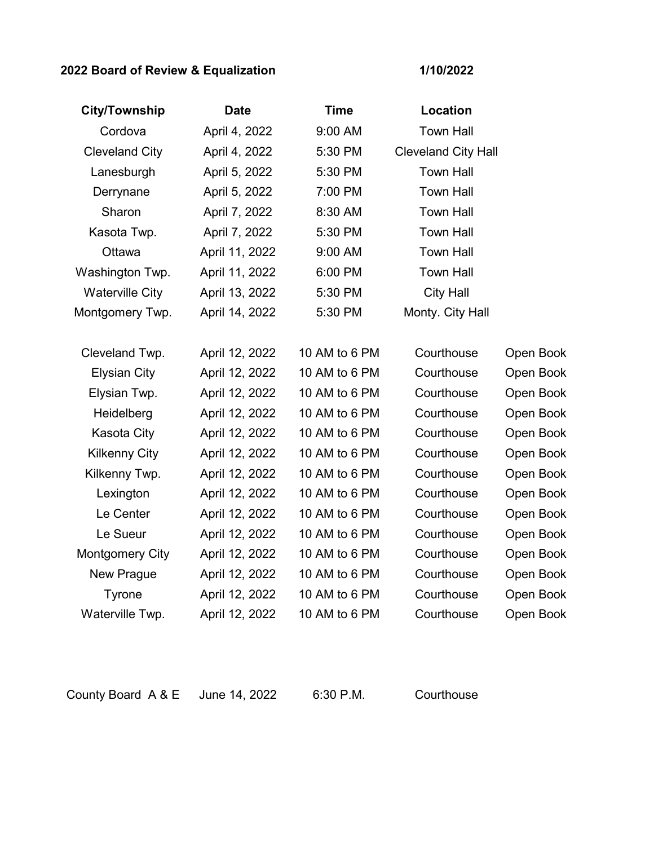### **2022 Board of Review & Equalization**

**1/10/2022**

| <b>City/Township</b>   | <b>Date</b>    | <b>Time</b>   | Location                   |           |
|------------------------|----------------|---------------|----------------------------|-----------|
| Cordova                | April 4, 2022  | 9:00 AM       | <b>Town Hall</b>           |           |
| <b>Cleveland City</b>  | April 4, 2022  | 5:30 PM       | <b>Cleveland City Hall</b> |           |
| Lanesburgh             | April 5, 2022  | 5:30 PM       | <b>Town Hall</b>           |           |
| Derrynane              | April 5, 2022  | 7:00 PM       | <b>Town Hall</b>           |           |
| Sharon                 | April 7, 2022  | 8:30 AM       | <b>Town Hall</b>           |           |
| Kasota Twp.            | April 7, 2022  | 5:30 PM       | <b>Town Hall</b>           |           |
| Ottawa                 | April 11, 2022 | 9:00 AM       | <b>Town Hall</b>           |           |
| Washington Twp.        | April 11, 2022 | 6:00 PM       | <b>Town Hall</b>           |           |
| <b>Waterville City</b> | April 13, 2022 | 5:30 PM       | <b>City Hall</b>           |           |
| Montgomery Twp.        | April 14, 2022 | 5:30 PM       | Monty. City Hall           |           |
|                        |                |               |                            |           |
| Cleveland Twp.         | April 12, 2022 | 10 AM to 6 PM | Courthouse                 | Open Book |
| <b>Elysian City</b>    | April 12, 2022 | 10 AM to 6 PM | Courthouse                 | Open Book |
| Elysian Twp.           | April 12, 2022 | 10 AM to 6 PM | Courthouse                 | Open Book |
| Heidelberg             | April 12, 2022 | 10 AM to 6 PM | Courthouse                 | Open Book |
| Kasota City            | April 12, 2022 | 10 AM to 6 PM | Courthouse                 | Open Book |
| <b>Kilkenny City</b>   | April 12, 2022 | 10 AM to 6 PM | Courthouse                 | Open Book |
| Kilkenny Twp.          | April 12, 2022 | 10 AM to 6 PM | Courthouse                 | Open Book |
| Lexington              | April 12, 2022 | 10 AM to 6 PM | Courthouse                 | Open Book |
| Le Center              | April 12, 2022 | 10 AM to 6 PM | Courthouse                 | Open Book |
| Le Sueur               | April 12, 2022 | 10 AM to 6 PM | Courthouse                 | Open Book |
| <b>Montgomery City</b> | April 12, 2022 | 10 AM to 6 PM | Courthouse                 | Open Book |
| <b>New Prague</b>      | April 12, 2022 | 10 AM to 6 PM | Courthouse                 | Open Book |
| Tyrone                 | April 12, 2022 | 10 AM to 6 PM | Courthouse                 | Open Book |
| Waterville Twp.        | April 12, 2022 | 10 AM to 6 PM | Courthouse                 | Open Book |

County Board A & E June 14, 2022 6:30 P.M. Courthouse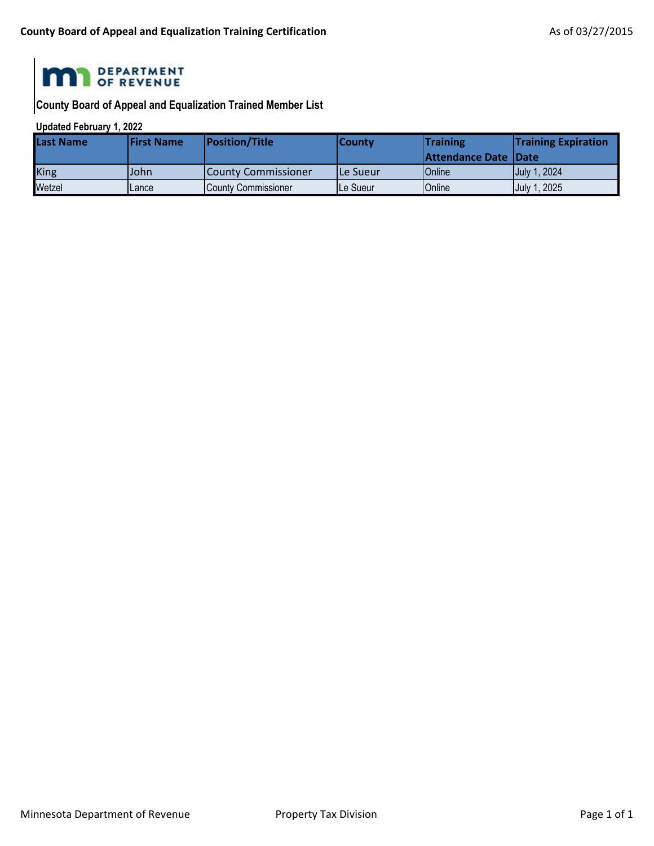

**County Board of Appeal and Equalization Trained Member List**

#### **Updated February 1, 2022**

| lLast Name  | <b>IFirst Name</b> | <b>Position/Title</b>       | l Countv   | <b>Training</b>             | <b>Training Expiration</b> |
|-------------|--------------------|-----------------------------|------------|-----------------------------|----------------------------|
|             |                    |                             |            | <b>Attendance Date Date</b> |                            |
| <b>King</b> | lJohn.             | <b>ICounty Commissioner</b> | l Le Sueur | Online                      | July 1, 2024               |
| Wetzel      | Lance              | County Commissioner         | lLe Sueur  | Online                      | July 1, 2025               |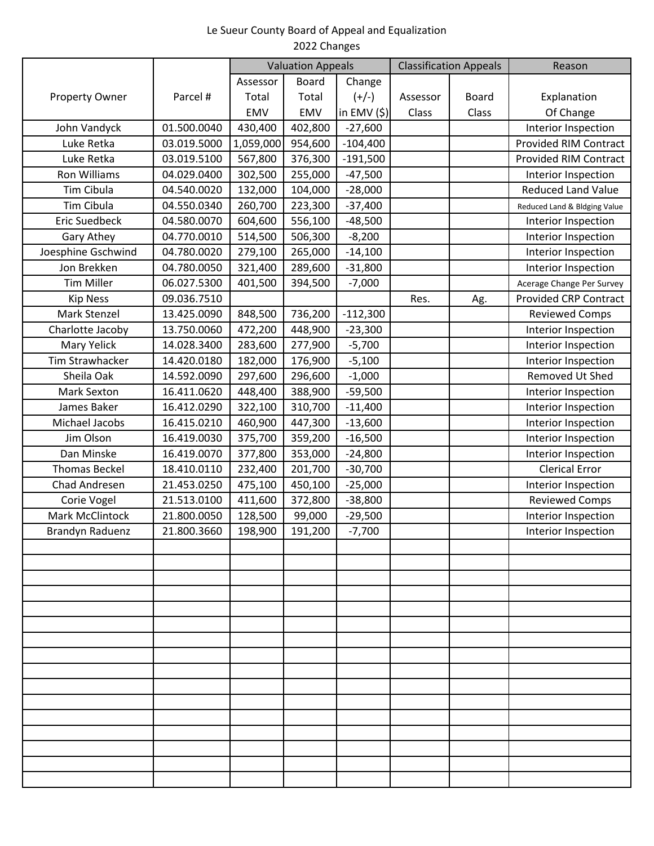#### Le Sueur County Board of Appeal and Equalization 2022 Changes

|                       |             |           | <b>Valuation Appeals</b> |             |          | <b>Classification Appeals</b> | Reason                       |
|-----------------------|-------------|-----------|--------------------------|-------------|----------|-------------------------------|------------------------------|
|                       |             | Assessor  | <b>Board</b>             | Change      |          |                               |                              |
| <b>Property Owner</b> | Parcel #    | Total     | Total                    | $(+/-)$     | Assessor | <b>Board</b>                  | Explanation                  |
|                       |             | EMV       | EMV                      | in $EMV(S)$ | Class    | Class                         | Of Change                    |
| John Vandyck          | 01.500.0040 | 430,400   | 402,800                  | $-27,600$   |          |                               | Interior Inspection          |
| Luke Retka            | 03.019.5000 | 1,059,000 | 954,600                  | $-104,400$  |          |                               | <b>Provided RIM Contract</b> |
| Luke Retka            | 03.019.5100 | 567,800   | 376,300                  | $-191,500$  |          |                               | <b>Provided RIM Contract</b> |
| Ron Williams          | 04.029.0400 | 302,500   | 255,000                  | $-47,500$   |          |                               | Interior Inspection          |
| Tim Cibula            | 04.540.0020 | 132,000   | 104,000                  | $-28,000$   |          |                               | <b>Reduced Land Value</b>    |
| <b>Tim Cibula</b>     | 04.550.0340 | 260,700   | 223,300                  | $-37,400$   |          |                               | Reduced Land & Bldging Value |
| <b>Eric Suedbeck</b>  | 04.580.0070 | 604,600   | 556,100                  | $-48,500$   |          |                               | Interior Inspection          |
| Gary Athey            | 04.770.0010 | 514,500   | 506,300                  | $-8,200$    |          |                               | Interior Inspection          |
| Joesphine Gschwind    | 04.780.0020 | 279,100   | 265,000                  | $-14,100$   |          |                               | Interior Inspection          |
| Jon Brekken           | 04.780.0050 | 321,400   | 289,600                  | $-31,800$   |          |                               | Interior Inspection          |
| <b>Tim Miller</b>     | 06.027.5300 | 401,500   | 394,500                  | $-7,000$    |          |                               | Acerage Change Per Survey    |
| <b>Kip Ness</b>       | 09.036.7510 |           |                          |             | Res.     | Ag.                           | <b>Provided CRP Contract</b> |
| Mark Stenzel          | 13.425.0090 | 848,500   | 736,200                  | $-112,300$  |          |                               | <b>Reviewed Comps</b>        |
| Charlotte Jacoby      | 13.750.0060 | 472,200   | 448,900                  | $-23,300$   |          |                               | Interior Inspection          |
| Mary Yelick           | 14.028.3400 | 283,600   | 277,900                  | $-5,700$    |          |                               | Interior Inspection          |
| Tim Strawhacker       | 14.420.0180 | 182,000   | 176,900                  | $-5,100$    |          |                               | Interior Inspection          |
| Sheila Oak            | 14.592.0090 | 297,600   | 296,600                  | $-1,000$    |          |                               | Removed Ut Shed              |
| Mark Sexton           | 16.411.0620 | 448,400   | 388,900                  | $-59,500$   |          |                               | Interior Inspection          |
| James Baker           | 16.412.0290 | 322,100   | 310,700                  | $-11,400$   |          |                               | Interior Inspection          |
| Michael Jacobs        | 16.415.0210 | 460,900   | 447,300                  | $-13,600$   |          |                               | Interior Inspection          |
| Jim Olson             | 16.419.0030 | 375,700   | 359,200                  | $-16,500$   |          |                               | Interior Inspection          |
| Dan Minske            | 16.419.0070 | 377,800   | 353,000                  | $-24,800$   |          |                               | Interior Inspection          |
| <b>Thomas Beckel</b>  | 18.410.0110 | 232,400   | 201,700                  | $-30,700$   |          |                               | <b>Clerical Error</b>        |
| Chad Andresen         | 21.453.0250 | 475,100   | 450,100                  | $-25,000$   |          |                               | Interior Inspection          |
| Corie Vogel           | 21.513.0100 | 411,600   | 372,800                  | $-38,800$   |          |                               | <b>Reviewed Comps</b>        |
| Mark McClintock       | 21.800.0050 | 128,500   | 99,000                   | $-29,500$   |          |                               | Interior Inspection          |
| Brandyn Raduenz       | 21.800.3660 | 198,900   | 191,200                  | $-7,700$    |          |                               | Interior Inspection          |
|                       |             |           |                          |             |          |                               |                              |
|                       |             |           |                          |             |          |                               |                              |
|                       |             |           |                          |             |          |                               |                              |
|                       |             |           |                          |             |          |                               |                              |
|                       |             |           |                          |             |          |                               |                              |
|                       |             |           |                          |             |          |                               |                              |
|                       |             |           |                          |             |          |                               |                              |
|                       |             |           |                          |             |          |                               |                              |
|                       |             |           |                          |             |          |                               |                              |
|                       |             |           |                          |             |          |                               |                              |
|                       |             |           |                          |             |          |                               |                              |
|                       |             |           |                          |             |          |                               |                              |
|                       |             |           |                          |             |          |                               |                              |
|                       |             |           |                          |             |          |                               |                              |
|                       |             |           |                          |             |          |                               |                              |
|                       |             |           |                          |             |          |                               |                              |